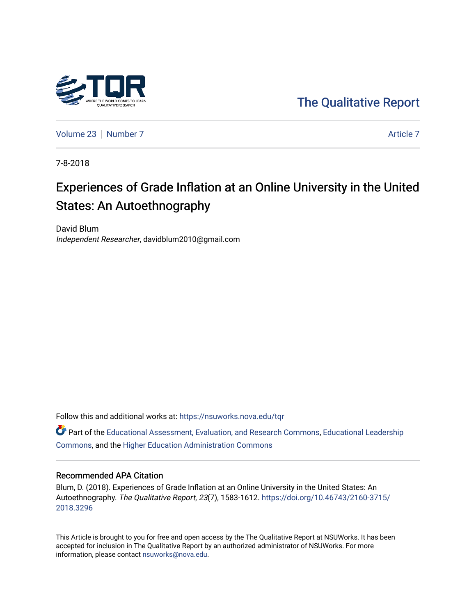

[The Qualitative Report](https://nsuworks.nova.edu/tqr) 

[Volume 23](https://nsuworks.nova.edu/tqr/vol23) [Number 7](https://nsuworks.nova.edu/tqr/vol23/iss7) [Article 7](https://nsuworks.nova.edu/tqr/vol23/iss7/7) Article 7 Article 7 Article 7 Article 7 Article 7 Article 7

7-8-2018

# Experiences of Grade Inflation at an Online University in the United States: An Autoethnography

David Blum Independent Researcher, davidblum2010@gmail.com

Follow this and additional works at: [https://nsuworks.nova.edu/tqr](https://nsuworks.nova.edu/tqr?utm_source=nsuworks.nova.edu%2Ftqr%2Fvol23%2Fiss7%2F7&utm_medium=PDF&utm_campaign=PDFCoverPages) 

Part of the [Educational Assessment, Evaluation, and Research Commons](http://network.bepress.com/hgg/discipline/796?utm_source=nsuworks.nova.edu%2Ftqr%2Fvol23%2Fiss7%2F7&utm_medium=PDF&utm_campaign=PDFCoverPages), [Educational Leadership](http://network.bepress.com/hgg/discipline/1230?utm_source=nsuworks.nova.edu%2Ftqr%2Fvol23%2Fiss7%2F7&utm_medium=PDF&utm_campaign=PDFCoverPages) [Commons](http://network.bepress.com/hgg/discipline/1230?utm_source=nsuworks.nova.edu%2Ftqr%2Fvol23%2Fiss7%2F7&utm_medium=PDF&utm_campaign=PDFCoverPages), and the [Higher Education Administration Commons](http://network.bepress.com/hgg/discipline/791?utm_source=nsuworks.nova.edu%2Ftqr%2Fvol23%2Fiss7%2F7&utm_medium=PDF&utm_campaign=PDFCoverPages) 

# Recommended APA Citation

Blum, D. (2018). Experiences of Grade Inflation at an Online University in the United States: An Autoethnography. The Qualitative Report, 23(7), 1583-1612. [https://doi.org/10.46743/2160-3715/](https://doi.org/10.46743/2160-3715/2018.3296) [2018.3296](https://doi.org/10.46743/2160-3715/2018.3296) 

This Article is brought to you for free and open access by the The Qualitative Report at NSUWorks. It has been accepted for inclusion in The Qualitative Report by an authorized administrator of NSUWorks. For more information, please contact [nsuworks@nova.edu.](mailto:nsuworks@nova.edu)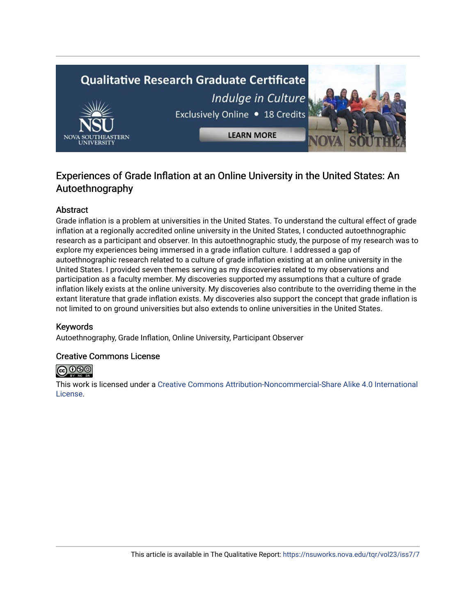# **Qualitative Research Graduate Certificate** Indulge in Culture Exclusively Online . 18 Credits **LEARN MORE**

# Experiences of Grade Inflation at an Online University in the United States: An Autoethnography

# Abstract

Grade inflation is a problem at universities in the United States. To understand the cultural effect of grade inflation at a regionally accredited online university in the United States, I conducted autoethnographic research as a participant and observer. In this autoethnographic study, the purpose of my research was to explore my experiences being immersed in a grade inflation culture. I addressed a gap of autoethnographic research related to a culture of grade inflation existing at an online university in the United States. I provided seven themes serving as my discoveries related to my observations and participation as a faculty member. My discoveries supported my assumptions that a culture of grade inflation likely exists at the online university. My discoveries also contribute to the overriding theme in the extant literature that grade inflation exists. My discoveries also support the concept that grade inflation is not limited to on ground universities but also extends to online universities in the United States.

# Keywords

Autoethnography, Grade Inflation, Online University, Participant Observer

# Creative Commons License



This work is licensed under a [Creative Commons Attribution-Noncommercial-Share Alike 4.0 International](https://creativecommons.org/licenses/by-nc-sa/4.0/)  [License](https://creativecommons.org/licenses/by-nc-sa/4.0/).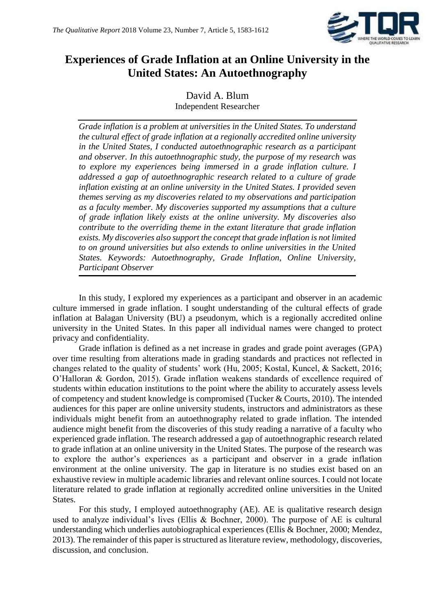

# **Experiences of Grade Inflation at an Online University in the United States: An Autoethnography**

David A. Blum Independent Researcher

*Grade inflation is a problem at universities in the United States. To understand the cultural effect of grade inflation at a regionally accredited online university in the United States, I conducted autoethnographic research as a participant and observer. In this autoethnographic study, the purpose of my research was to explore my experiences being immersed in a grade inflation culture. I addressed a gap of autoethnographic research related to a culture of grade inflation existing at an online university in the United States. I provided seven themes serving as my discoveries related to my observations and participation as a faculty member. My discoveries supported my assumptions that a culture of grade inflation likely exists at the online university. My discoveries also contribute to the overriding theme in the extant literature that grade inflation exists. My discoveries also support the concept that grade inflation is not limited to on ground universities but also extends to online universities in the United States. Keywords: Autoethnography, Grade Inflation, Online University, Participant Observer*

In this study, I explored my experiences as a participant and observer in an academic culture immersed in grade inflation. I sought understanding of the cultural effects of grade inflation at Balagan University (BU) a pseudonym, which is a regionally accredited online university in the United States. In this paper all individual names were changed to protect privacy and confidentiality.

Grade inflation is defined as a net increase in grades and grade point averages (GPA) over time resulting from alterations made in grading standards and practices not reflected in changes related to the quality of students' work (Hu, 2005; Kostal, Kuncel, & Sackett, 2016; O'Halloran & Gordon, 2015). Grade inflation weakens standards of excellence required of students within education institutions to the point where the ability to accurately assess levels of competency and student knowledge is compromised (Tucker & Courts, 2010). The intended audiences for this paper are online university students, instructors and administrators as these individuals might benefit from an autoethnography related to grade inflation. The intended audience might benefit from the discoveries of this study reading a narrative of a faculty who experienced grade inflation. The research addressed a gap of autoethnographic research related to grade inflation at an online university in the United States. The purpose of the research was to explore the author's experiences as a participant and observer in a grade inflation environment at the online university. The gap in literature is no studies exist based on an exhaustive review in multiple academic libraries and relevant online sources. I could not locate literature related to grade inflation at regionally accredited online universities in the United States.

For this study, I employed autoethnography (AE). AE is qualitative research design used to analyze individual's lives (Ellis & Bochner, 2000). The purpose of AE is cultural understanding which underlies autobiographical experiences (Ellis & Bochner, 2000; Mendez, 2013). The remainder of this paper is structured as literature review, methodology, discoveries, discussion, and conclusion.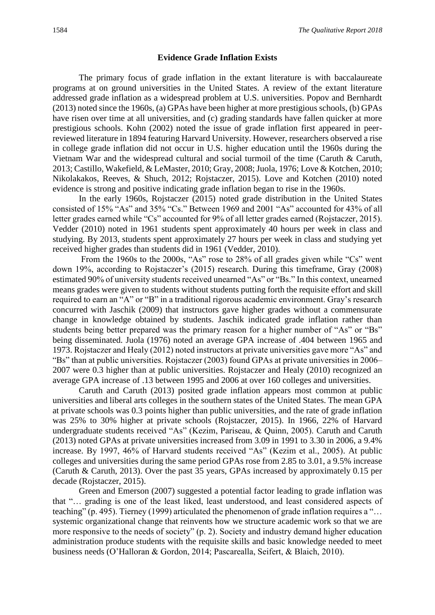#### **Evidence Grade Inflation Exists**

The primary focus of grade inflation in the extant literature is with baccalaureate programs at on ground universities in the United States. A review of the extant literature addressed grade inflation as a widespread problem at U.S. universities. Popov and Bernhardt (2013) noted since the 1960s, (a) GPAs have been higher at more prestigious schools, (b) GPAs have risen over time at all universities, and (c) grading standards have fallen quicker at more prestigious schools. Kohn (2002) noted the issue of grade inflation first appeared in peerreviewed literature in 1894 featuring Harvard University. However, researchers observed a rise in college grade inflation did not occur in U.S. higher education until the 1960s during the Vietnam War and the widespread cultural and social turmoil of the time (Caruth & Caruth, 2013; Castillo, Wakefield, & LeMaster, 2010; Gray, 2008; Juola, 1976; Love & Kotchen, 2010; Nikolakakos, Reeves, & Shuch, 2012; Rojstaczer, 2015). Love and Kotchen (2010) noted evidence is strong and positive indicating grade inflation began to rise in the 1960s.

In the early 1960s, Rojstaczer (2015) noted grade distribution in the United States consisted of 15% "As" and 35% "Cs." Between 1969 and 2001 "As" accounted for 43% of all letter grades earned while "Cs" accounted for 9% of all letter grades earned (Rojstaczer, 2015). Vedder (2010) noted in 1961 students spent approximately 40 hours per week in class and studying. By 2013, students spent approximately 27 hours per week in class and studying yet received higher grades than students did in 1961 (Vedder, 2010).

From the 1960s to the 2000s, "As" rose to 28% of all grades given while "Cs" went down 19%, according to Rojstaczer's (2015) research. During this timeframe, Gray (2008) estimated 90% of university students received unearned "As" or "Bs." In this context, unearned means grades were given to students without students putting forth the requisite effort and skill required to earn an "A" or "B" in a traditional rigorous academic environment. Gray's research concurred with Jaschik (2009) that instructors gave higher grades without a commensurate change in knowledge obtained by students. Jaschik indicated grade inflation rather than students being better prepared was the primary reason for a higher number of "As" or "Bs" being disseminated. Juola (1976) noted an average GPA increase of .404 between 1965 and 1973. Rojstaczer and Healy (2012) noted instructors at private universities gave more "As" and "Bs" than at public universities. Rojstaczer (2003) found GPAs at private universities in 2006– 2007 were 0.3 higher than at public universities. Rojstaczer and Healy (2010) recognized an average GPA increase of .13 between 1995 and 2006 at over 160 colleges and universities.

Caruth and Caruth (2013) posited grade inflation appears most common at public universities and liberal arts colleges in the southern states of the United States. The mean GPA at private schools was 0.3 points higher than public universities, and the rate of grade inflation was 25% to 30% higher at private schools (Rojstaczer, 2015). In 1966, 22% of Harvard undergraduate students received "As" (Kezim, Pariseau, & Quinn, 2005). Caruth and Caruth (2013) noted GPAs at private universities increased from 3.09 in 1991 to 3.30 in 2006, a 9.4% increase. By 1997, 46% of Harvard students received "As" (Kezim et al., 2005). At public colleges and universities during the same period GPAs rose from 2.85 to 3.01, a 9.5% increase (Caruth & Caruth, 2013). Over the past 35 years, GPAs increased by approximately 0.15 per decade (Rojstaczer, 2015).

Green and Emerson (2007) suggested a potential factor leading to grade inflation was that "… grading is one of the least liked, least understood, and least considered aspects of teaching" (p. 495). Tierney (1999) articulated the phenomenon of grade inflation requires a "… systemic organizational change that reinvents how we structure academic work so that we are more responsive to the needs of society" (p. 2). Society and industry demand higher education administration produce students with the requisite skills and basic knowledge needed to meet business needs (O'Halloran & Gordon, 2014; Pascarealla, Seifert, & Blaich, 2010).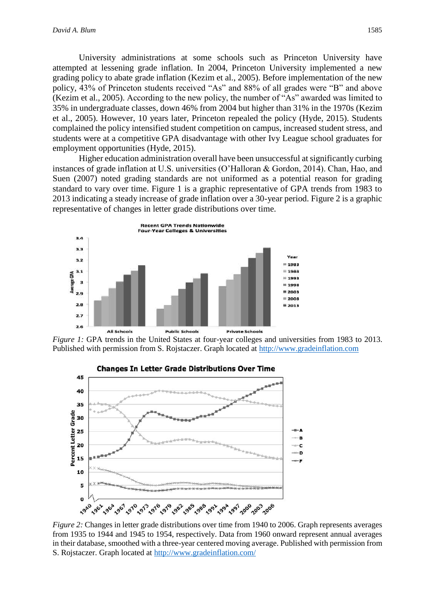University administrations at some schools such as Princeton University have attempted at lessening grade inflation. In 2004, Princeton University implemented a new grading policy to abate grade inflation (Kezim et al., 2005). Before implementation of the new policy, 43% of Princeton students received "As" and 88% of all grades were "B" and above (Kezim et al., 2005). According to the new policy, the number of "As" awarded was limited to 35% in undergraduate classes, down 46% from 2004 but higher than 31% in the 1970s (Kezim et al., 2005). However, 10 years later, Princeton repealed the policy (Hyde, 2015). Students complained the policy intensified student competition on campus, increased student stress, and students were at a competitive GPA disadvantage with other Ivy League school graduates for employment opportunities (Hyde, 2015).

Higher education administration overall have been unsuccessful at significantly curbing instances of grade inflation at U.S. universities (O'Halloran & Gordon, 2014). Chan, Hao, and Suen (2007) noted grading standards are not uniformed as a potential reason for grading standard to vary over time. Figure 1 is a graphic representative of GPA trends from 1983 to 2013 indicating a steady increase of grade inflation over a 30-year period. Figure 2 is a graphic representative of changes in letter grade distributions over time.



*Figure 1:* GPA trends in the United States at four-year colleges and universities from 1983 to 2013. Published with permission from S. Rojstaczer. Graph located at [http://www.gradeinflation.com](http://www.gradeinflation.com/)



*Figure 2:* Changes in letter grade distributions over time from 1940 to 2006. Graph represents averages from 1935 to 1944 and 1945 to 1954, respectively. Data from 1960 onward represent annual averages in their database, smoothed with a three-year centered moving average. Published with permission from S. Rojstaczer. Graph located at<http://www.gradeinflation.com/>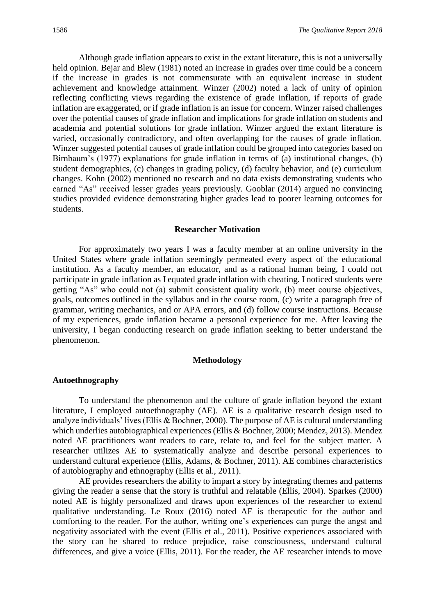Although grade inflation appears to exist in the extant literature, this is not a universally held opinion. Bejar and Blew (1981) noted an increase in grades over time could be a concern if the increase in grades is not commensurate with an equivalent increase in student achievement and knowledge attainment. Winzer (2002) noted a lack of unity of opinion reflecting conflicting views regarding the existence of grade inflation, if reports of grade inflation are exaggerated, or if grade inflation is an issue for concern. Winzer raised challenges over the potential causes of grade inflation and implications for grade inflation on students and academia and potential solutions for grade inflation. Winzer argued the extant literature is varied, occasionally contradictory, and often overlapping for the causes of grade inflation. Winzer suggested potential causes of grade inflation could be grouped into categories based on Birnbaum's (1977) explanations for grade inflation in terms of (a) institutional changes, (b) student demographics, (c) changes in grading policy, (d) faculty behavior, and (e) curriculum changes. Kohn (2002) mentioned no research and no data exists demonstrating students who earned "As" received lesser grades years previously. Gooblar (2014) argued no convincing studies provided evidence demonstrating higher grades lead to poorer learning outcomes for students.

#### **Researcher Motivation**

For approximately two years I was a faculty member at an online university in the United States where grade inflation seemingly permeated every aspect of the educational institution. As a faculty member, an educator, and as a rational human being, I could not participate in grade inflation as I equated grade inflation with cheating. I noticed students were getting "As" who could not (a) submit consistent quality work, (b) meet course objectives, goals, outcomes outlined in the syllabus and in the course room, (c) write a paragraph free of grammar, writing mechanics, and or APA errors, and (d) follow course instructions. Because of my experiences, grade inflation became a personal experience for me. After leaving the university, I began conducting research on grade inflation seeking to better understand the phenomenon.

#### **Methodology**

#### **Autoethnography**

To understand the phenomenon and the culture of grade inflation beyond the extant literature, I employed autoethnography (AE). AE is a qualitative research design used to analyze individuals' lives (Ellis & Bochner, 2000). The purpose of AE is cultural understanding which underlies autobiographical experiences (Ellis & Bochner, 2000; Mendez, 2013). Mendez noted AE practitioners want readers to care, relate to, and feel for the subject matter. A researcher utilizes AE to systematically analyze and describe personal experiences to understand cultural experience (Ellis, Adams, & Bochner, 2011). AE combines characteristics of autobiography and ethnography (Ellis et al., 2011).

AE provides researchers the ability to impart a story by integrating themes and patterns giving the reader a sense that the story is truthful and relatable (Ellis, 2004). Sparkes (2000) noted AE is highly personalized and draws upon experiences of the researcher to extend qualitative understanding. Le Roux (2016) noted AE is therapeutic for the author and comforting to the reader. For the author, writing one's experiences can purge the angst and negativity associated with the event (Ellis et al., 2011). Positive experiences associated with the story can be shared to reduce prejudice, raise consciousness, understand cultural differences, and give a voice (Ellis, 2011). For the reader, the AE researcher intends to move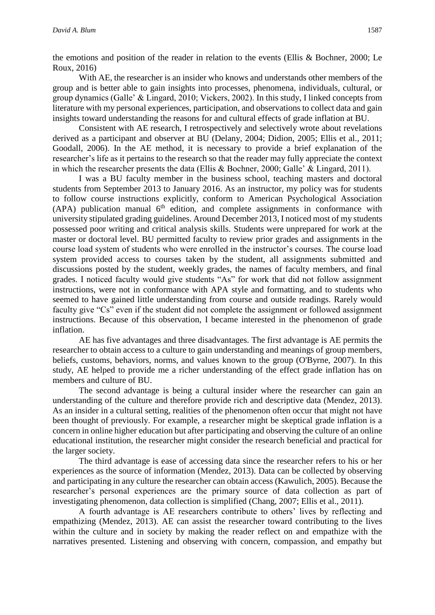the emotions and position of the reader in relation to the events (Ellis & Bochner, 2000; Le Roux, 2016)

With AE, the researcher is an insider who knows and understands other members of the group and is better able to gain insights into processes, phenomena, individuals, cultural, or group dynamics (Galle' & Lingard, 2010; Vickers, 2002). In this study, I linked concepts from literature with my personal experiences, participation, and observations to collect data and gain insights toward understanding the reasons for and cultural effects of grade inflation at BU.

Consistent with AE research, I retrospectively and selectively wrote about revelations derived as a participant and observer at BU (Delany, 2004; Didion, 2005; Ellis et al., 2011; Goodall, 2006). In the AE method, it is necessary to provide a brief explanation of the researcher's life as it pertains to the research so that the reader may fully appreciate the context in which the researcher presents the data (Ellis & Bochner, 2000; Galle' & Lingard, 2011).

I was a BU faculty member in the business school, teaching masters and doctoral students from September 2013 to January 2016. As an instructor, my policy was for students to follow course instructions explicitly, conform to American Psychological Association  $(APA)$  publication manual  $6<sup>th</sup>$  edition, and complete assignments in conformance with university stipulated grading guidelines. Around December 2013, I noticed most of my students possessed poor writing and critical analysis skills. Students were unprepared for work at the master or doctoral level. BU permitted faculty to review prior grades and assignments in the course load system of students who were enrolled in the instructor's courses. The course load system provided access to courses taken by the student, all assignments submitted and discussions posted by the student, weekly grades, the names of faculty members, and final grades. I noticed faculty would give students "As" for work that did not follow assignment instructions, were not in conformance with APA style and formatting, and to students who seemed to have gained little understanding from course and outside readings. Rarely would faculty give "Cs" even if the student did not complete the assignment or followed assignment instructions. Because of this observation, I became interested in the phenomenon of grade inflation.

AE has five advantages and three disadvantages. The first advantage is AE permits the researcher to obtain access to a culture to gain understanding and meanings of group members, beliefs, customs, behaviors, norms, and values known to the group (O'Byrne, 2007). In this study, AE helped to provide me a richer understanding of the effect grade inflation has on members and culture of BU.

The second advantage is being a cultural insider where the researcher can gain an understanding of the culture and therefore provide rich and descriptive data (Mendez, 2013). As an insider in a cultural setting, realities of the phenomenon often occur that might not have been thought of previously. For example, a researcher might be skeptical grade inflation is a concern in online higher education but after participating and observing the culture of an online educational institution, the researcher might consider the research beneficial and practical for the larger society.

The third advantage is ease of accessing data since the researcher refers to his or her experiences as the source of information (Mendez, 2013). Data can be collected by observing and participating in any culture the researcher can obtain access (Kawulich, 2005). Because the researcher's personal experiences are the primary source of data collection as part of investigating phenomenon, data collection is simplified (Chang, 2007; Ellis et al., 2011).

A fourth advantage is AE researchers contribute to others' lives by reflecting and empathizing (Mendez, 2013). AE can assist the researcher toward contributing to the lives within the culture and in society by making the reader reflect on and empathize with the narratives presented. Listening and observing with concern, compassion, and empathy but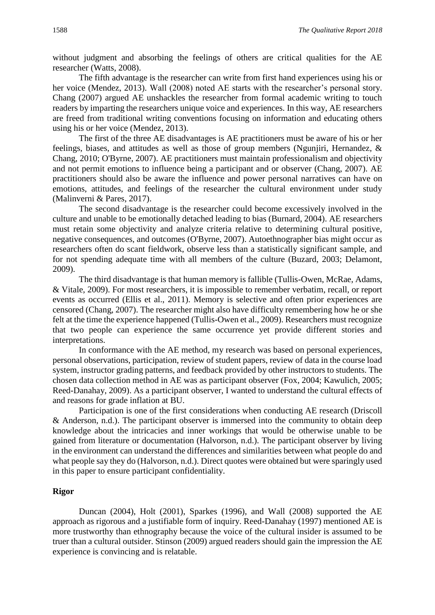without judgment and absorbing the feelings of others are critical qualities for the AE researcher (Watts, 2008).

The fifth advantage is the researcher can write from first hand experiences using his or her voice (Mendez, 2013). Wall (2008) noted AE starts with the researcher's personal story. Chang (2007) argued AE unshackles the researcher from formal academic writing to touch readers by imparting the researchers unique voice and experiences. In this way, AE researchers are freed from traditional writing conventions focusing on information and educating others using his or her voice (Mendez, 2013).

The first of the three AE disadvantages is AE practitioners must be aware of his or her feelings, biases, and attitudes as well as those of group members (Ngunjiri, Hernandez, & Chang, 2010; O'Byrne, 2007). AE practitioners must maintain professionalism and objectivity and not permit emotions to influence being a participant and or observer (Chang, 2007). AE practitioners should also be aware the influence and power personal narratives can have on emotions, attitudes, and feelings of the researcher the cultural environment under study (Malinverni & Pares, 2017).

The second disadvantage is the researcher could become excessively involved in the culture and unable to be emotionally detached leading to bias (Burnard, 2004). AE researchers must retain some objectivity and analyze criteria relative to determining cultural positive, negative consequences, and outcomes (O'Byrne, 2007). Autoethnographer bias might occur as researchers often do scant fieldwork, observe less than a statistically significant sample, and for not spending adequate time with all members of the culture (Buzard, 2003; Delamont, 2009).

The third disadvantage is that human memory is fallible (Tullis-Owen, McRae, Adams, & Vitale, 2009). For most researchers, it is impossible to remember verbatim, recall, or report events as occurred (Ellis et al., 2011). Memory is selective and often prior experiences are censored (Chang, 2007). The researcher might also have difficulty remembering how he or she felt at the time the experience happened (Tullis-Owen et al., 2009). Researchers must recognize that two people can experience the same occurrence yet provide different stories and interpretations.

In conformance with the AE method, my research was based on personal experiences, personal observations, participation, review of student papers, review of data in the course load system, instructor grading patterns, and feedback provided by other instructors to students. The chosen data collection method in AE was as participant observer (Fox, 2004; Kawulich, 2005; Reed-Danahay, 2009). As a participant observer, I wanted to understand the cultural effects of and reasons for grade inflation at BU.

Participation is one of the first considerations when conducting AE research (Driscoll & Anderson, n.d.). The participant observer is immersed into the community to obtain deep knowledge about the intricacies and inner workings that would be otherwise unable to be gained from literature or documentation (Halvorson, n.d.). The participant observer by living in the environment can understand the differences and similarities between what people do and what people say they do (Halvorson, n.d.). Direct quotes were obtained but were sparingly used in this paper to ensure participant confidentiality.

# **Rigor**

Duncan (2004), Holt (2001), Sparkes (1996), and Wall (2008) supported the AE approach as rigorous and a justifiable form of inquiry. Reed-Danahay (1997) mentioned AE is more trustworthy than ethnography because the voice of the cultural insider is assumed to be truer than a cultural outsider. Stinson (2009) argued readers should gain the impression the AE experience is convincing and is relatable.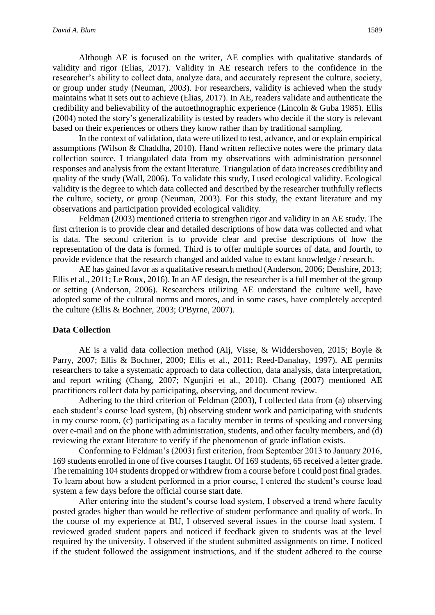Although AE is focused on the writer, AE complies with qualitative standards of validity and rigor (Elias, 2017). Validity in AE research refers to the confidence in the researcher's ability to collect data, analyze data, and accurately represent the culture, society, or group under study (Neuman, 2003). For researchers, validity is achieved when the study maintains what it sets out to achieve (Elias, 2017). In AE, readers validate and authenticate the credibility and believability of the autoethnographic experience (Lincoln & Guba 1985). Ellis (2004) noted the story's generalizability is tested by readers who decide if the story is relevant based on their experiences or others they know rather than by traditional sampling.

In the context of validation, data were utilized to test, advance, and or explain empirical assumptions (Wilson & Chaddha, 2010). Hand written reflective notes were the primary data collection source. I triangulated data from my observations with administration personnel responses and analysis from the extant literature. Triangulation of data increases credibility and quality of the study (Wall, 2006). To validate this study, I used ecological validity. Ecological validity is the degree to which data collected and described by the researcher truthfully reflects the culture, society, or group (Neuman, 2003). For this study, the extant literature and my observations and participation provided ecological validity.

Feldman (2003) mentioned criteria to strengthen rigor and validity in an AE study. The first criterion is to provide clear and detailed descriptions of how data was collected and what is data. The second criterion is to provide clear and precise descriptions of how the representation of the data is formed. Third is to offer multiple sources of data, and fourth, to provide evidence that the research changed and added value to extant knowledge / research.

AE has gained favor as a qualitative research method (Anderson, 2006; Denshire, 2013; Ellis et al., 2011; Le Roux, 2016). In an AE design, the researcher is a full member of the group or setting (Anderson, 2006). Researchers utilizing AE understand the culture well, have adopted some of the cultural norms and mores, and in some cases, have completely accepted the culture (Ellis & Bochner, 2003; O'Byrne, 2007).

#### **Data Collection**

AE is a valid data collection method (Aij, Visse, & Widdershoven, 2015; Boyle & Parry, 2007; Ellis & Bochner, 2000; Ellis et al., 2011; Reed-Danahay, 1997). AE permits researchers to take a systematic approach to data collection, data analysis, data interpretation, and report writing (Chang, 2007; Ngunjiri et al., 2010). Chang (2007) mentioned AE practitioners collect data by participating, observing, and document review.

Adhering to the third criterion of Feldman (2003), I collected data from (a) observing each student's course load system, (b) observing student work and participating with students in my course room, (c) participating as a faculty member in terms of speaking and conversing over e-mail and on the phone with administration, students, and other faculty members, and (d) reviewing the extant literature to verify if the phenomenon of grade inflation exists.

Conforming to Feldman's (2003) first criterion, from September 2013 to January 2016, 169 students enrolled in one of five courses I taught. Of 169 students, 65 received a letter grade. The remaining 104 students dropped or withdrew from a course before I could post final grades. To learn about how a student performed in a prior course, I entered the student's course load system a few days before the official course start date.

After entering into the student's course load system, I observed a trend where faculty posted grades higher than would be reflective of student performance and quality of work. In the course of my experience at BU, I observed several issues in the course load system. I reviewed graded student papers and noticed if feedback given to students was at the level required by the university. I observed if the student submitted assignments on time. I noticed if the student followed the assignment instructions, and if the student adhered to the course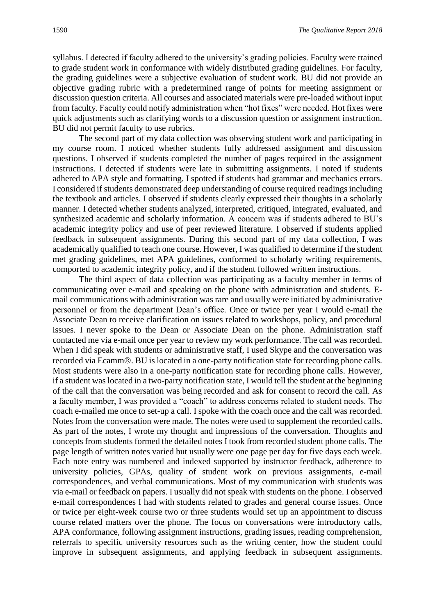syllabus. I detected if faculty adhered to the university's grading policies. Faculty were trained to grade student work in conformance with widely distributed grading guidelines. For faculty, the grading guidelines were a subjective evaluation of student work. BU did not provide an objective grading rubric with a predetermined range of points for meeting assignment or discussion question criteria. All courses and associated materials were pre-loaded without input from faculty. Faculty could notify administration when "hot fixes" were needed. Hot fixes were quick adjustments such as clarifying words to a discussion question or assignment instruction. BU did not permit faculty to use rubrics.

The second part of my data collection was observing student work and participating in my course room. I noticed whether students fully addressed assignment and discussion questions. I observed if students completed the number of pages required in the assignment instructions. I detected if students were late in submitting assignments. I noted if students adhered to APA style and formatting. I spotted if students had grammar and mechanics errors. I considered if students demonstrated deep understanding of course required readings including the textbook and articles. I observed if students clearly expressed their thoughts in a scholarly manner. I detected whether students analyzed, interpreted, critiqued, integrated, evaluated, and synthesized academic and scholarly information. A concern was if students adhered to BU's academic integrity policy and use of peer reviewed literature. I observed if students applied feedback in subsequent assignments. During this second part of my data collection, I was academically qualified to teach one course. However, I was qualified to determine if the student met grading guidelines, met APA guidelines, conformed to scholarly writing requirements, comported to academic integrity policy, and if the student followed written instructions.

The third aspect of data collection was participating as a faculty member in terms of communicating over e-mail and speaking on the phone with administration and students. Email communications with administration was rare and usually were initiated by administrative personnel or from the department Dean's office. Once or twice per year I would e-mail the Associate Dean to receive clarification on issues related to workshops, policy, and procedural issues. I never spoke to the Dean or Associate Dean on the phone. Administration staff contacted me via e-mail once per year to review my work performance. The call was recorded. When I did speak with students or administrative staff, I used Skype and the conversation was recorded via Ecamm<sup>®</sup>. BU is located in a one-party notification state for recording phone calls. Most students were also in a one-party notification state for recording phone calls. However, if a student was located in a two-party notification state, I would tell the student at the beginning of the call that the conversation was being recorded and ask for consent to record the call. As a faculty member, I was provided a "coach" to address concerns related to student needs. The coach e-mailed me once to set-up a call. I spoke with the coach once and the call was recorded. Notes from the conversation were made. The notes were used to supplement the recorded calls. As part of the notes, I wrote my thought and impressions of the conversation. Thoughts and concepts from students formed the detailed notes I took from recorded student phone calls. The page length of written notes varied but usually were one page per day for five days each week. Each note entry was numbered and indexed supported by instructor feedback, adherence to university policies, GPAs, quality of student work on previous assignments, e-mail correspondences, and verbal communications. Most of my communication with students was via e-mail or feedback on papers. I usually did not speak with students on the phone. I observed e-mail correspondences I had with students related to grades and general course issues. Once or twice per eight-week course two or three students would set up an appointment to discuss course related matters over the phone. The focus on conversations were introductory calls, APA conformance, following assignment instructions, grading issues, reading comprehension, referrals to specific university resources such as the writing center, how the student could improve in subsequent assignments, and applying feedback in subsequent assignments.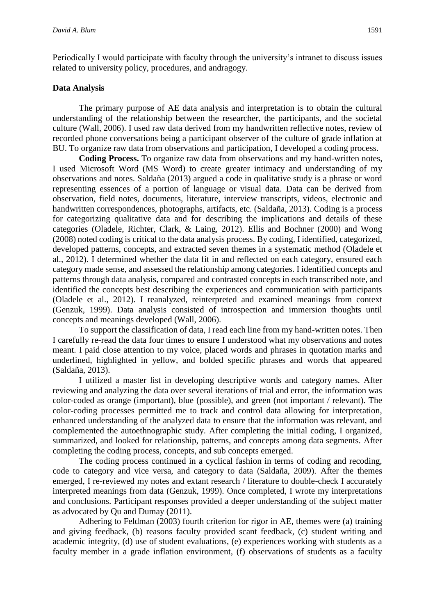Periodically I would participate with faculty through the university's intranet to discuss issues related to university policy, procedures, and andragogy.

#### **Data Analysis**

The primary purpose of AE data analysis and interpretation is to obtain the cultural understanding of the relationship between the researcher, the participants, and the societal culture (Wall, 2006). I used raw data derived from my handwritten reflective notes, review of recorded phone conversations being a participant observer of the culture of grade inflation at BU. To organize raw data from observations and participation, I developed a coding process.

**Coding Process.** To organize raw data from observations and my hand-written notes, I used Microsoft Word (MS Word) to create greater intimacy and understanding of my observations and notes. Saldaña (2013) argued a code in qualitative study is a phrase or word representing essences of a portion of language or visual data. Data can be derived from observation, field notes, documents, literature, interview transcripts, videos, electronic and handwritten correspondences, photographs, artifacts, etc. (Saldaña, 2013). Coding is a process for categorizing qualitative data and for describing the implications and details of these categories (Oladele, Richter, Clark, & Laing, 2012). Ellis and Bochner (2000) and Wong (2008) noted coding is critical to the data analysis process. By coding, I identified, categorized, developed patterns, concepts, and extracted seven themes in a systematic method (Oladele et al., 2012). I determined whether the data fit in and reflected on each category, ensured each category made sense, and assessed the relationship among categories. I identified concepts and patterns through data analysis, compared and contrasted concepts in each transcribed note, and identified the concepts best describing the experiences and communication with participants (Oladele et al., 2012). I reanalyzed, reinterpreted and examined meanings from context (Genzuk, 1999). Data analysis consisted of introspection and immersion thoughts until concepts and meanings developed (Wall, 2006).

To support the classification of data, I read each line from my hand-written notes. Then I carefully re-read the data four times to ensure I understood what my observations and notes meant. I paid close attention to my voice, placed words and phrases in quotation marks and underlined, highlighted in yellow, and bolded specific phrases and words that appeared (Saldaña, 2013).

I utilized a master list in developing descriptive words and category names. After reviewing and analyzing the data over several iterations of trial and error, the information was color-coded as orange (important), blue (possible), and green (not important / relevant). The color-coding processes permitted me to track and control data allowing for interpretation, enhanced understanding of the analyzed data to ensure that the information was relevant, and complemented the autoethnographic study. After completing the initial coding, I organized, summarized, and looked for relationship, patterns, and concepts among data segments. After completing the coding process, concepts, and sub concepts emerged.

The coding process continued in a cyclical fashion in terms of coding and recoding, code to category and vice versa, and category to data (Saldaña, 2009). After the themes emerged, I re-reviewed my notes and extant research / literature to double-check I accurately interpreted meanings from data (Genzuk, 1999). Once completed, I wrote my interpretations and conclusions. Participant responses provided a deeper understanding of the subject matter as advocated by Qu and Dumay (2011).

Adhering to Feldman (2003) fourth criterion for rigor in AE, themes were (a) training and giving feedback, (b) reasons faculty provided scant feedback, (c) student writing and academic integrity, (d) use of student evaluations, (e) experiences working with students as a faculty member in a grade inflation environment, (f) observations of students as a faculty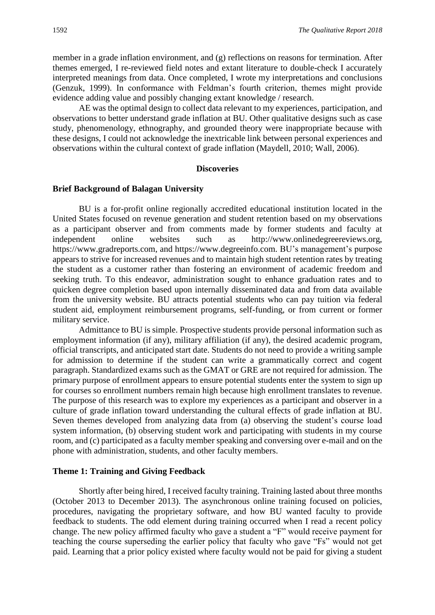member in a grade inflation environment, and (g) reflections on reasons for termination*.* After themes emerged, I re-reviewed field notes and extant literature to double-check I accurately interpreted meanings from data. Once completed, I wrote my interpretations and conclusions (Genzuk, 1999). In conformance with Feldman's fourth criterion, themes might provide evidence adding value and possibly changing extant knowledge / research.

AE was the optimal design to collect data relevant to my experiences, participation, and observations to better understand grade inflation at BU. Other qualitative designs such as case study, phenomenology, ethnography, and grounded theory were inappropriate because with these designs, I could not acknowledge the inextricable link between personal experiences and observations within the cultural context of grade inflation (Maydell, 2010; Wall, 2006).

#### **Discoveries**

#### **Brief Background of Balagan University**

BU is a for-profit online regionally accredited educational institution located in the United States focused on revenue generation and student retention based on my observations as a participant observer and from comments made by former students and faculty at independent online websites such as http://www.onlinedegreereviews.org, https://www.gradreports.com, and https://www.degreeinfo.com. BU's management's purpose appears to strive for increased revenues and to maintain high student retention rates by treating the student as a customer rather than fostering an environment of academic freedom and seeking truth. To this endeavor, administration sought to enhance graduation rates and to quicken degree completion based upon internally disseminated data and from data available from the university website. BU attracts potential students who can pay tuition via federal student aid, employment reimbursement programs, self-funding, or from current or former military service.

Admittance to BU is simple. Prospective students provide personal information such as employment information (if any), military affiliation (if any), the desired academic program, official transcripts, and anticipated start date. Students do not need to provide a writing sample for admission to determine if the student can write a grammatically correct and cogent paragraph. Standardized exams such as the GMAT or GRE are not required for admission. The primary purpose of enrollment appears to ensure potential students enter the system to sign up for courses so enrollment numbers remain high because high enrollment translates to revenue. The purpose of this research was to explore my experiences as a participant and observer in a culture of grade inflation toward understanding the cultural effects of grade inflation at BU. Seven themes developed from analyzing data from (a) observing the student's course load system information, (b) observing student work and participating with students in my course room, and (c) participated as a faculty member speaking and conversing over e-mail and on the phone with administration, students, and other faculty members.

#### **Theme 1: Training and Giving Feedback**

Shortly after being hired, I received faculty training. Training lasted about three months (October 2013 to December 2013). The asynchronous online training focused on policies, procedures, navigating the proprietary software, and how BU wanted faculty to provide feedback to students. The odd element during training occurred when I read a recent policy change. The new policy affirmed faculty who gave a student a "F" would receive payment for teaching the course superseding the earlier policy that faculty who gave "Fs" would not get paid. Learning that a prior policy existed where faculty would not be paid for giving a student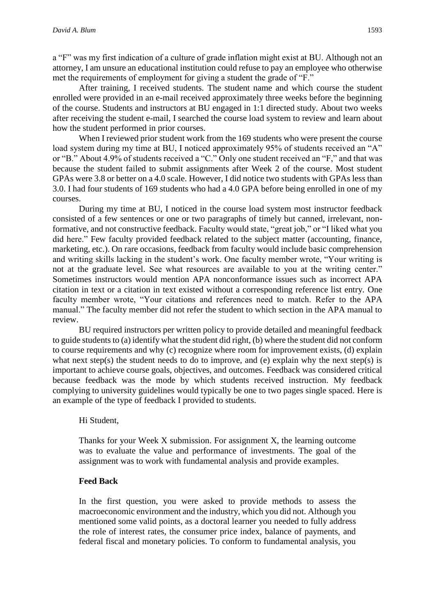a "F" was my first indication of a culture of grade inflation might exist at BU. Although not an attorney, I am unsure an educational institution could refuse to pay an employee who otherwise met the requirements of employment for giving a student the grade of "F."

After training, I received students. The student name and which course the student enrolled were provided in an e-mail received approximately three weeks before the beginning of the course. Students and instructors at BU engaged in 1:1 directed study. About two weeks after receiving the student e-mail, I searched the course load system to review and learn about how the student performed in prior courses.

When I reviewed prior student work from the 169 students who were present the course load system during my time at BU, I noticed approximately 95% of students received an "A" or "B." About 4.9% of students received a "C." Only one student received an "F," and that was because the student failed to submit assignments after Week 2 of the course. Most student GPAs were 3.8 or better on a 4.0 scale. However, I did notice two students with GPAs less than 3.0. I had four students of 169 students who had a 4.0 GPA before being enrolled in one of my courses.

During my time at BU, I noticed in the course load system most instructor feedback consisted of a few sentences or one or two paragraphs of timely but canned, irrelevant, nonformative, and not constructive feedback. Faculty would state, "great job," or "I liked what you did here." Few faculty provided feedback related to the subject matter (accounting, finance, marketing, etc.). On rare occasions, feedback from faculty would include basic comprehension and writing skills lacking in the student's work. One faculty member wrote, "Your writing is not at the graduate level. See what resources are available to you at the writing center." Sometimes instructors would mention APA nonconformance issues such as incorrect APA citation in text or a citation in text existed without a corresponding reference list entry. One faculty member wrote, "Your citations and references need to match. Refer to the APA manual." The faculty member did not refer the student to which section in the APA manual to review.

BU required instructors per written policy to provide detailed and meaningful feedback to guide students to (a) identify what the student did right, (b) where the student did not conform to course requirements and why (c) recognize where room for improvement exists, (d) explain what next step(s) the student needs to do to improve, and (e) explain why the next step(s) is important to achieve course goals, objectives, and outcomes. Feedback was considered critical because feedback was the mode by which students received instruction. My feedback complying to university guidelines would typically be one to two pages single spaced. Here is an example of the type of feedback I provided to students.

#### Hi Student,

Thanks for your Week X submission. For assignment X, the learning outcome was to evaluate the value and performance of investments. The goal of the assignment was to work with fundamental analysis and provide examples.

# **Feed Back**

In the first question, you were asked to provide methods to assess the macroeconomic environment and the industry, which you did not. Although you mentioned some valid points, as a doctoral learner you needed to fully address the role of interest rates, the consumer price index, balance of payments, and federal fiscal and monetary policies. To conform to fundamental analysis, you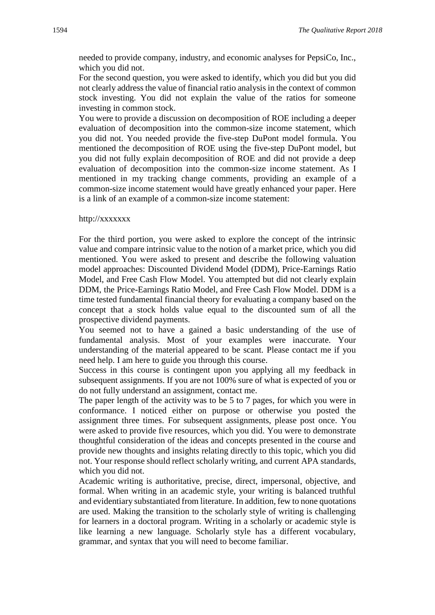needed to provide company, industry, and economic analyses for PepsiCo, Inc., which you did not.

For the second question, you were asked to identify, which you did but you did not clearly address the value of financial ratio analysis in the context of common stock investing. You did not explain the value of the ratios for someone investing in common stock.

You were to provide a discussion on decomposition of ROE including a deeper evaluation of decomposition into the common-size income statement, which you did not. You needed provide the five-step DuPont model formula. You mentioned the decomposition of ROE using the five-step DuPont model, but you did not fully explain decomposition of ROE and did not provide a deep evaluation of decomposition into the common-size income statement. As I mentioned in my tracking change comments, providing an example of a common-size income statement would have greatly enhanced your paper. Here is a link of an example of a common-size income statement:

#### http://xxxxxxx

For the third portion, you were asked to explore the concept of the intrinsic value and compare intrinsic value to the notion of a market price, which you did mentioned. You were asked to present and describe the following valuation model approaches: Discounted Dividend Model (DDM), Price-Earnings Ratio Model, and Free Cash Flow Model. You attempted but did not clearly explain DDM, the Price-Earnings Ratio Model, and Free Cash Flow Model. DDM is a time tested fundamental financial theory for evaluating a company based on the concept that a stock holds value equal to the discounted sum of all the prospective dividend payments.

You seemed not to have a gained a basic understanding of the use of fundamental analysis. Most of your examples were inaccurate. Your understanding of the material appeared to be scant. Please contact me if you need help. I am here to guide you through this course.

Success in this course is contingent upon you applying all my feedback in subsequent assignments. If you are not 100% sure of what is expected of you or do not fully understand an assignment, contact me.

The paper length of the activity was to be 5 to 7 pages, for which you were in conformance. I noticed either on purpose or otherwise you posted the assignment three times. For subsequent assignments, please post once. You were asked to provide five resources, which you did. You were to demonstrate thoughtful consideration of the ideas and concepts presented in the course and provide new thoughts and insights relating directly to this topic, which you did not. Your response should reflect scholarly writing, and current APA standards, which you did not.

Academic writing is authoritative, precise, direct, impersonal, objective, and formal. When writing in an academic style, your writing is balanced truthful and evidentiary substantiated from literature. In addition, few to none quotations are used. Making the transition to the scholarly style of writing is challenging for learners in a doctoral program. Writing in a scholarly or academic style is like learning a new language. Scholarly style has a different vocabulary, grammar, and syntax that you will need to become familiar.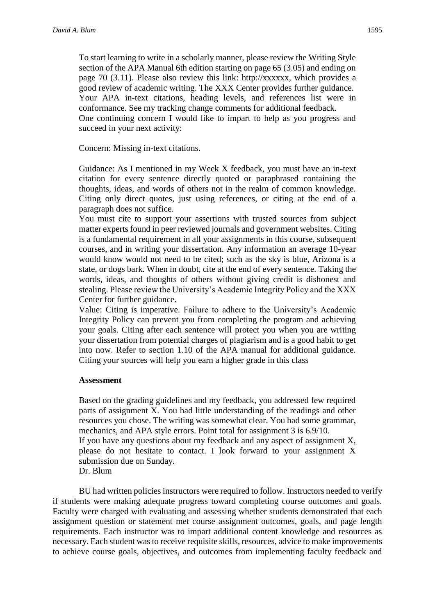To start learning to write in a scholarly manner, please review the Writing Style section of the APA Manual 6th edition starting on page 65 (3.05) and ending on page 70 (3.11). Please also review this link: http://xxxxxx, which provides a good review of academic writing. The XXX Center provides further guidance. Your APA in-text citations, heading levels, and references list were in conformance. See my tracking change comments for additional feedback. One continuing concern I would like to impart to help as you progress and

Concern: Missing in-text citations.

succeed in your next activity:

Guidance: As I mentioned in my Week X feedback, you must have an in-text citation for every sentence directly quoted or paraphrased containing the thoughts, ideas, and words of others not in the realm of common knowledge. Citing only direct quotes, just using references, or citing at the end of a paragraph does not suffice.

You must cite to support your assertions with trusted sources from subject matter experts found in peer reviewed journals and government websites. Citing is a fundamental requirement in all your assignments in this course, subsequent courses, and in writing your dissertation. Any information an average 10-year would know would not need to be cited; such as the sky is blue, Arizona is a state, or dogs bark. When in doubt, cite at the end of every sentence. Taking the words, ideas, and thoughts of others without giving credit is dishonest and stealing. Please review the University's Academic Integrity Policy and the XXX Center for further guidance.

Value: Citing is imperative. Failure to adhere to the University's Academic Integrity Policy can prevent you from completing the program and achieving your goals. Citing after each sentence will protect you when you are writing your dissertation from potential charges of plagiarism and is a good habit to get into now. Refer to section 1.10 of the APA manual for additional guidance. Citing your sources will help you earn a higher grade in this class

#### **Assessment**

Based on the grading guidelines and my feedback, you addressed few required parts of assignment X. You had little understanding of the readings and other resources you chose. The writing was somewhat clear. You had some grammar, mechanics, and APA style errors. Point total for assignment 3 is 6.9/10. If you have any questions about my feedback and any aspect of assignment X, please do not hesitate to contact. I look forward to your assignment X submission due on Sunday. Dr. Blum

BU had written policies instructors were required to follow. Instructors needed to verify if students were making adequate progress toward completing course outcomes and goals. Faculty were charged with evaluating and assessing whether students demonstrated that each assignment question or statement met course assignment outcomes, goals, and page length requirements. Each instructor was to impart additional content knowledge and resources as necessary. Each student was to receive requisite skills, resources, advice to make improvements to achieve course goals, objectives, and outcomes from implementing faculty feedback and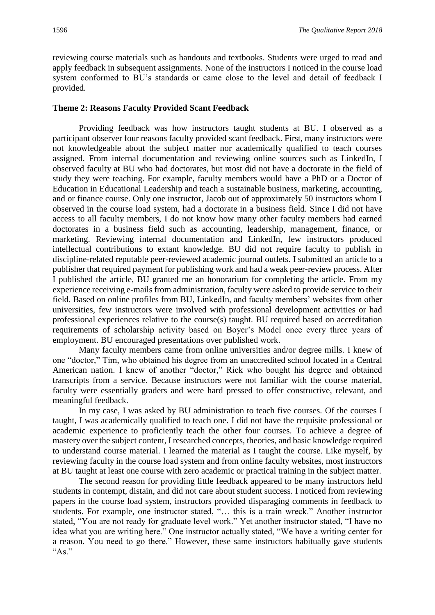reviewing course materials such as handouts and textbooks. Students were urged to read and apply feedback in subsequent assignments. None of the instructors I noticed in the course load system conformed to BU's standards or came close to the level and detail of feedback I provided.

#### **Theme 2: Reasons Faculty Provided Scant Feedback**

Providing feedback was how instructors taught students at BU. I observed as a participant observer four reasons faculty provided scant feedback. First, many instructors were not knowledgeable about the subject matter nor academically qualified to teach courses assigned. From internal documentation and reviewing online sources such as LinkedIn, I observed faculty at BU who had doctorates, but most did not have a doctorate in the field of study they were teaching. For example, faculty members would have a PhD or a Doctor of Education in Educational Leadership and teach a sustainable business, marketing, accounting, and or finance course. Only one instructor, Jacob out of approximately 50 instructors whom I observed in the course load system, had a doctorate in a business field. Since I did not have access to all faculty members, I do not know how many other faculty members had earned doctorates in a business field such as accounting, leadership, management, finance, or marketing. Reviewing internal documentation and LinkedIn, few instructors produced intellectual contributions to extant knowledge. BU did not require faculty to publish in discipline-related reputable peer-reviewed academic journal outlets. I submitted an article to a publisher that required payment for publishing work and had a weak peer-review process. After I published the article, BU granted me an honorarium for completing the article. From my experience receiving e-mails from administration, faculty were asked to provide service to their field. Based on online profiles from BU, LinkedIn, and faculty members' websites from other universities, few instructors were involved with professional development activities or had professional experiences relative to the course(s) taught. BU required based on accreditation requirements of scholarship activity based on Boyer's Model once every three years of employment. BU encouraged presentations over published work.

Many faculty members came from online universities and/or degree mills. I knew of one "doctor," Tim, who obtained his degree from an unaccredited school located in a Central American nation. I knew of another "doctor," Rick who bought his degree and obtained transcripts from a service. Because instructors were not familiar with the course material, faculty were essentially graders and were hard pressed to offer constructive, relevant, and meaningful feedback.

In my case, I was asked by BU administration to teach five courses. Of the courses I taught, I was academically qualified to teach one. I did not have the requisite professional or academic experience to proficiently teach the other four courses. To achieve a degree of mastery over the subject content, I researched concepts, theories, and basic knowledge required to understand course material. I learned the material as I taught the course. Like myself, by reviewing faculty in the course load system and from online faculty websites, most instructors at BU taught at least one course with zero academic or practical training in the subject matter.

The second reason for providing little feedback appeared to be many instructors held students in contempt, distain, and did not care about student success. I noticed from reviewing papers in the course load system, instructors provided disparaging comments in feedback to students. For example, one instructor stated, "… this is a train wreck." Another instructor stated, "You are not ready for graduate level work." Yet another instructor stated, "I have no idea what you are writing here." One instructor actually stated, "We have a writing center for a reason. You need to go there." However, these same instructors habitually gave students "As."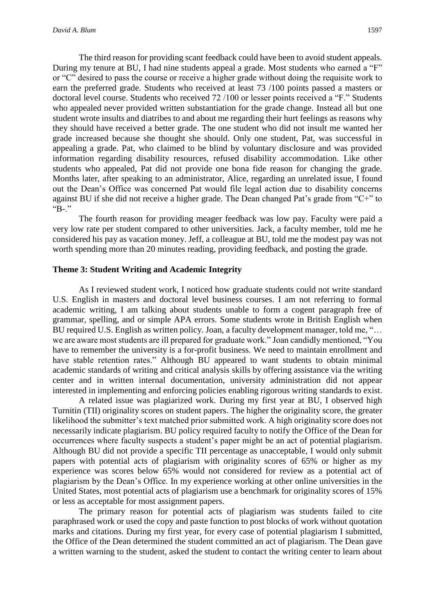The third reason for providing scant feedback could have been to avoid student appeals. During my tenure at BU, I had nine students appeal a grade. Most students who earned a "F" or "C" desired to pass the course or receive a higher grade without doing the requisite work to earn the preferred grade. Students who received at least 73 /100 points passed a masters or doctoral level course. Students who received 72 /100 or lesser points received a "F." Students who appealed never provided written substantiation for the grade change. Instead all but one student wrote insults and diatribes to and about me regarding their hurt feelings as reasons why they should have received a better grade. The one student who did not insult me wanted her grade increased because she thought she should. Only one student, Pat, was successful in appealing a grade. Pat, who claimed to be blind by voluntary disclosure and was provided information regarding disability resources, refused disability accommodation. Like other students who appealed, Pat did not provide one bona fide reason for changing the grade. Months later, after speaking to an administrator, Alice, regarding an unrelated issue, I found out the Dean's Office was concerned Pat would file legal action due to disability concerns against BU if she did not receive a higher grade. The Dean changed Pat's grade from "C+" to "B-."

The fourth reason for providing meager feedback was low pay. Faculty were paid a very low rate per student compared to other universities. Jack, a faculty member, told me he considered his pay as vacation money. Jeff, a colleague at BU, told me the modest pay was not worth spending more than 20 minutes reading, providing feedback, and posting the grade.

#### **Theme 3: Student Writing and Academic Integrity**

As I reviewed student work, I noticed how graduate students could not write standard U.S. English in masters and doctoral level business courses. I am not referring to formal academic writing, I am talking about students unable to form a cogent paragraph free of grammar, spelling, and or simple APA errors. Some students wrote in British English when BU required U.S. English as written policy. Joan, a faculty development manager, told me, "... we are aware most students are ill prepared for graduate work." Joan candidly mentioned, "You have to remember the university is a for-profit business. We need to maintain enrollment and have stable retention rates." Although BU appeared to want students to obtain minimal academic standards of writing and critical analysis skills by offering assistance via the writing center and in written internal documentation, university administration did not appear interested in implementing and enforcing policies enabling rigorous writing standards to exist.

A related issue was plagiarized work. During my first year at BU, I observed high Turnitin (TII) originality scores on student papers. The higher the originality score, the greater likelihood the submitter's text matched prior submitted work. A high originality score does not necessarily indicate plagiarism. BU policy required faculty to notify the Office of the Dean for occurrences where faculty suspects a student's paper might be an act of potential plagiarism. Although BU did not provide a specific TII percentage as unacceptable, I would only submit papers with potential acts of plagiarism with originality scores of 65% or higher as my experience was scores below 65% would not considered for review as a potential act of plagiarism by the Dean's Office. In my experience working at other online universities in the United States, most potential acts of plagiarism use a benchmark for originality scores of 15% or less as acceptable for most assignment papers.

The primary reason for potential acts of plagiarism was students failed to cite paraphrased work or used the copy and paste function to post blocks of work without quotation marks and citations. During my first year, for every case of potential plagiarism I submitted, the Office of the Dean determined the student committed an act of plagiarism. The Dean gave a written warning to the student, asked the student to contact the writing center to learn about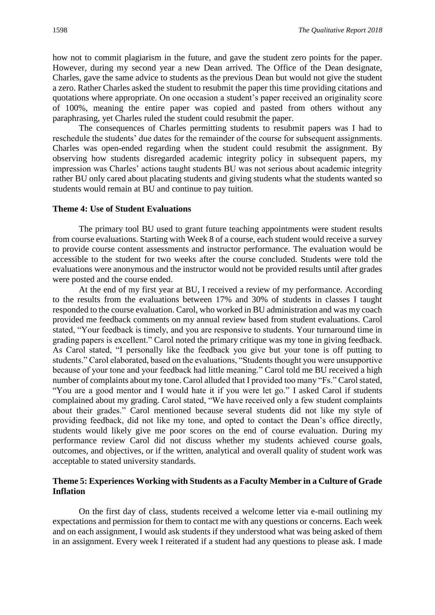how not to commit plagiarism in the future, and gave the student zero points for the paper. However, during my second year a new Dean arrived. The Office of the Dean designate, Charles, gave the same advice to students as the previous Dean but would not give the student a zero. Rather Charles asked the student to resubmit the paper this time providing citations and quotations where appropriate. On one occasion a student's paper received an originality score of 100%, meaning the entire paper was copied and pasted from others without any paraphrasing, yet Charles ruled the student could resubmit the paper.

The consequences of Charles permitting students to resubmit papers was I had to reschedule the students' due dates for the remainder of the course for subsequent assignments. Charles was open-ended regarding when the student could resubmit the assignment. By observing how students disregarded academic integrity policy in subsequent papers, my impression was Charles' actions taught students BU was not serious about academic integrity rather BU only cared about placating students and giving students what the students wanted so students would remain at BU and continue to pay tuition.

#### **Theme 4: Use of Student Evaluations**

The primary tool BU used to grant future teaching appointments were student results from course evaluations. Starting with Week 8 of a course, each student would receive a survey to provide course content assessments and instructor performance. The evaluation would be accessible to the student for two weeks after the course concluded. Students were told the evaluations were anonymous and the instructor would not be provided results until after grades were posted and the course ended.

At the end of my first year at BU, I received a review of my performance. According to the results from the evaluations between 17% and 30% of students in classes I taught responded to the course evaluation. Carol, who worked in BU administration and was my coach provided me feedback comments on my annual review based from student evaluations. Carol stated, "Your feedback is timely, and you are responsive to students. Your turnaround time in grading papers is excellent." Carol noted the primary critique was my tone in giving feedback. As Carol stated, "I personally like the feedback you give but your tone is off putting to students." Carol elaborated, based on the evaluations, "Students thought you were unsupportive because of your tone and your feedback had little meaning." Carol told me BU received a high number of complaints about my tone. Carol alluded that I provided too many "Fs." Carol stated, "You are a good mentor and I would hate it if you were let go." I asked Carol if students complained about my grading. Carol stated, "We have received only a few student complaints about their grades." Carol mentioned because several students did not like my style of providing feedback, did not like my tone, and opted to contact the Dean's office directly, students would likely give me poor scores on the end of course evaluation. During my performance review Carol did not discuss whether my students achieved course goals, outcomes, and objectives, or if the written, analytical and overall quality of student work was acceptable to stated university standards.

#### **Theme 5: Experiences Working with Students as a Faculty Member in a Culture of Grade Inflation**

On the first day of class, students received a welcome letter via e-mail outlining my expectations and permission for them to contact me with any questions or concerns. Each week and on each assignment, I would ask students if they understood what was being asked of them in an assignment. Every week I reiterated if a student had any questions to please ask. I made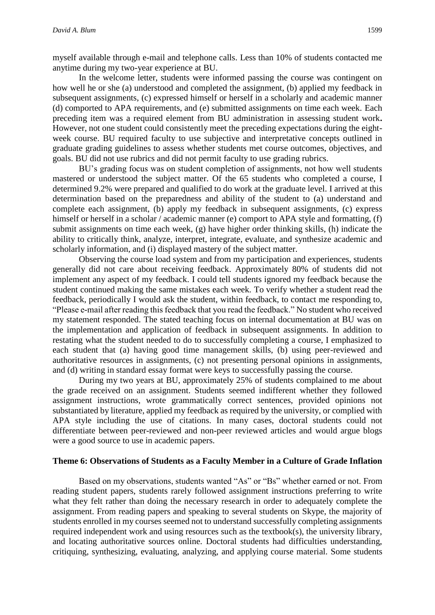myself available through e-mail and telephone calls. Less than 10% of students contacted me anytime during my two-year experience at BU.

In the welcome letter, students were informed passing the course was contingent on how well he or she (a) understood and completed the assignment, (b) applied my feedback in subsequent assignments, (c) expressed himself or herself in a scholarly and academic manner (d) comported to APA requirements, and (e) submitted assignments on time each week. Each preceding item was a required element from BU administration in assessing student work**.** However, not one student could consistently meet the preceding expectations during the eightweek course. BU required faculty to use subjective and interpretative concepts outlined in graduate grading guidelines to assess whether students met course outcomes, objectives, and goals. BU did not use rubrics and did not permit faculty to use grading rubrics.

BU's grading focus was on student completion of assignments, not how well students mastered or understood the subject matter. Of the 65 students who completed a course, I determined 9.2% were prepared and qualified to do work at the graduate level. I arrived at this determination based on the preparedness and ability of the student to (a) understand and complete each assignment, (b) apply my feedback in subsequent assignments, (c) express himself or herself in a scholar / academic manner (e) comport to APA style and formatting, (f) submit assignments on time each week, (g) have higher order thinking skills, (h) indicate the ability to critically think, analyze, interpret, integrate, evaluate, and synthesize academic and scholarly information, and (i) displayed mastery of the subject matter.

Observing the course load system and from my participation and experiences, students generally did not care about receiving feedback. Approximately 80% of students did not implement any aspect of my feedback. I could tell students ignored my feedback because the student continued making the same mistakes each week. To verify whether a student read the feedback, periodically I would ask the student, within feedback, to contact me responding to, "Please e-mail after reading this feedback that you read the feedback." No student who received my statement responded. The stated teaching focus on internal documentation at BU was on the implementation and application of feedback in subsequent assignments. In addition to restating what the student needed to do to successfully completing a course, I emphasized to each student that (a) having good time management skills, (b) using peer-reviewed and authoritative resources in assignments, (c) not presenting personal opinions in assignments, and (d) writing in standard essay format were keys to successfully passing the course.

During my two years at BU, approximately 25% of students complained to me about the grade received on an assignment. Students seemed indifferent whether they followed assignment instructions, wrote grammatically correct sentences, provided opinions not substantiated by literature, applied my feedback as required by the university, or complied with APA style including the use of citations. In many cases, doctoral students could not differentiate between peer-reviewed and non-peer reviewed articles and would argue blogs were a good source to use in academic papers.

#### **Theme 6: Observations of Students as a Faculty Member in a Culture of Grade Inflation**

Based on my observations, students wanted "As" or "Bs" whether earned or not. From reading student papers, students rarely followed assignment instructions preferring to write what they felt rather than doing the necessary research in order to adequately complete the assignment. From reading papers and speaking to several students on Skype, the majority of students enrolled in my courses seemed not to understand successfully completing assignments required independent work and using resources such as the textbook(s), the university library, and locating authoritative sources online. Doctoral students had difficulties understanding, critiquing, synthesizing, evaluating, analyzing, and applying course material. Some students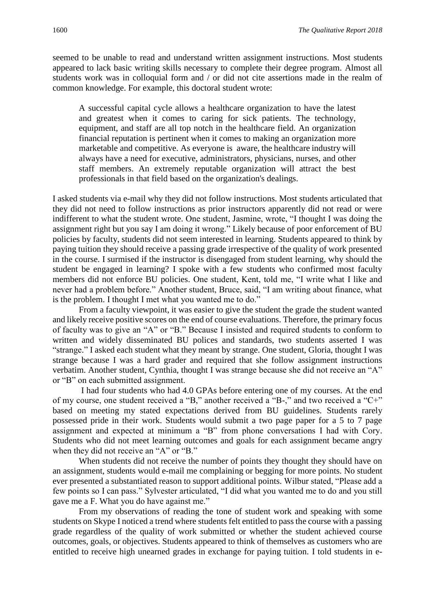seemed to be unable to read and understand written assignment instructions. Most students appeared to lack basic writing skills necessary to complete their degree program. Almost all students work was in colloquial form and / or did not cite assertions made in the realm of common knowledge. For example, this doctoral student wrote:

A successful capital cycle allows a healthcare organization to have the latest and greatest when it comes to caring for sick patients. The technology, equipment, and staff are all top notch in the healthcare field. An organization financial reputation is pertinent when it comes to making an organization more marketable and competitive. As everyone is aware, the healthcare industry will always have a need for executive, administrators, physicians, nurses, and other staff members. An extremely reputable organization will attract the best professionals in that field based on the organization's dealings.

I asked students via e-mail why they did not follow instructions. Most students articulated that they did not need to follow instructions as prior instructors apparently did not read or were indifferent to what the student wrote. One student, Jasmine, wrote, "I thought I was doing the assignment right but you say I am doing it wrong." Likely because of poor enforcement of BU policies by faculty, students did not seem interested in learning. Students appeared to think by paying tuition they should receive a passing grade irrespective of the quality of work presented in the course. I surmised if the instructor is disengaged from student learning, why should the student be engaged in learning? I spoke with a few students who confirmed most faculty members did not enforce BU policies. One student, Kent, told me, "I write what I like and never had a problem before." Another student, Bruce, said, "I am writing about finance, what is the problem. I thought I met what you wanted me to do."

From a faculty viewpoint, it was easier to give the student the grade the student wanted and likely receive positive scores on the end of course evaluations. Therefore, the primary focus of faculty was to give an "A" or "B." Because I insisted and required students to conform to written and widely disseminated BU polices and standards, two students asserted I was "strange." I asked each student what they meant by strange. One student, Gloria, thought I was strange because I was a hard grader and required that she follow assignment instructions verbatim. Another student, Cynthia, thought I was strange because she did not receive an "A" or "B" on each submitted assignment.

I had four students who had 4.0 GPAs before entering one of my courses. At the end of my course, one student received a "B," another received a "B-," and two received a "C+" based on meeting my stated expectations derived from BU guidelines. Students rarely possessed pride in their work. Students would submit a two page paper for a 5 to 7 page assignment and expected at minimum a "B" from phone conversations I had with Cory. Students who did not meet learning outcomes and goals for each assignment became angry when they did not receive an "A" or "B."

When students did not receive the number of points they thought they should have on an assignment, students would e-mail me complaining or begging for more points. No student ever presented a substantiated reason to support additional points. Wilbur stated, "Please add a few points so I can pass." Sylvester articulated, "I did what you wanted me to do and you still gave me a F. What you do have against me."

From my observations of reading the tone of student work and speaking with some students on Skype I noticed a trend where students felt entitled to pass the course with a passing grade regardless of the quality of work submitted or whether the student achieved course outcomes, goals, or objectives. Students appeared to think of themselves as customers who are entitled to receive high unearned grades in exchange for paying tuition. I told students in e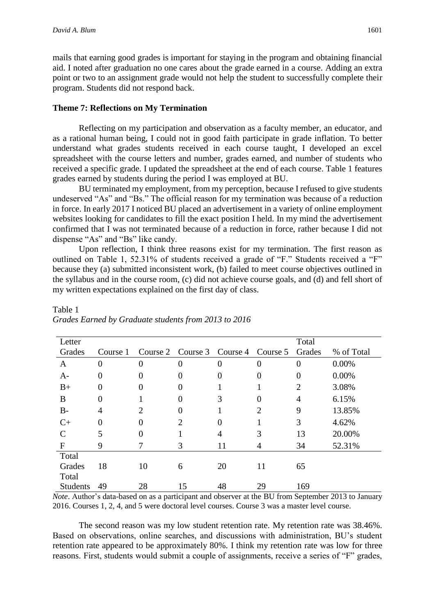mails that earning good grades is important for staying in the program and obtaining financial aid. I noted after graduation no one cares about the grade earned in a course. Adding an extra point or two to an assignment grade would not help the student to successfully complete their program. Students did not respond back.

#### **Theme 7: Reflections on My Termination**

Reflecting on my participation and observation as a faculty member, an educator, and as a rational human being, I could not in good faith participate in grade inflation. To better understand what grades students received in each course taught, I developed an excel spreadsheet with the course letters and number, grades earned, and number of students who received a specific grade. I updated the spreadsheet at the end of each course. Table 1 features grades earned by students during the period I was employed at BU.

BU terminated my employment, from my perception, because I refused to give students undeserved "As" and "Bs." The official reason for my termination was because of a reduction in force. In early 2017 I noticed BU placed an advertisement in a variety of online employment websites looking for candidates to fill the exact position I held. In my mind the advertisement confirmed that I was not terminated because of a reduction in force, rather because I did not dispense "As" and "Bs" like candy.

Upon reflection, I think three reasons exist for my termination. The first reason as outlined on Table 1, 52.31% of students received a grade of "F." Students received a "F" because they (a) submitted inconsistent work, (b) failed to meet course objectives outlined in the syllabus and in the course room, (c) did not achieve course goals, and (d) and fell short of my written expectations explained on the first day of class.

| Letter          |                |                             |                |                                     |                | Total          |            |
|-----------------|----------------|-----------------------------|----------------|-------------------------------------|----------------|----------------|------------|
| Grades          | Course 1       |                             |                | Course 2 Course 3 Course 4 Course 5 |                | Grades         | % of Total |
| A               | $\overline{0}$ | $\theta$                    | $\overline{0}$ | $\theta$                            | 0              | $\overline{0}$ | 0.00%      |
| $A-$            | 0              | $\overline{0}$              | $\overline{0}$ | $\Omega$                            | $\theta$       | 0              | 0.00%      |
| $B+$            | 0              | 0                           | $\overline{0}$ |                                     |                | 2              | 3.08%      |
| B               | 0              |                             | $\overline{0}$ | 3                                   | 0              | 4              | 6.15%      |
| $B-$            | 4              | $\mathcal{D}_{\mathcal{L}}$ | $\overline{0}$ |                                     | $\overline{2}$ | 9              | 13.85%     |
| $C+$            | 0              | $\Omega$                    | $\overline{2}$ | 0                                   |                | 3              | 4.62%      |
| $\mathcal{C}$   | 5              | $\Omega$                    |                | 4                                   | 3              | 13             | 20.00%     |
| $\mathbf{F}$    | 9              |                             | 3              | 11                                  | 4              | 34             | 52.31%     |
| Total           |                |                             |                |                                     |                |                |            |
| Grades          | 18             | 10                          | 6              | 20                                  | 11             | 65             |            |
| Total           |                |                             |                |                                     |                |                |            |
| <b>Students</b> | 49             | 28                          | 15             | 48                                  | 29             | 169            |            |

# Table 1 *Grades Earned by Graduate students from 2013 to 2016*

*Note*. Author's data-based on as a participant and observer at the BU from September 2013 to January 2016. Courses 1, 2, 4, and 5 were doctoral level courses. Course 3 was a master level course.

The second reason was my low student retention rate. My retention rate was 38.46%. Based on observations, online searches, and discussions with administration, BU's student retention rate appeared to be approximately 80%. I think my retention rate was low for three reasons. First, students would submit a couple of assignments, receive a series of "F" grades,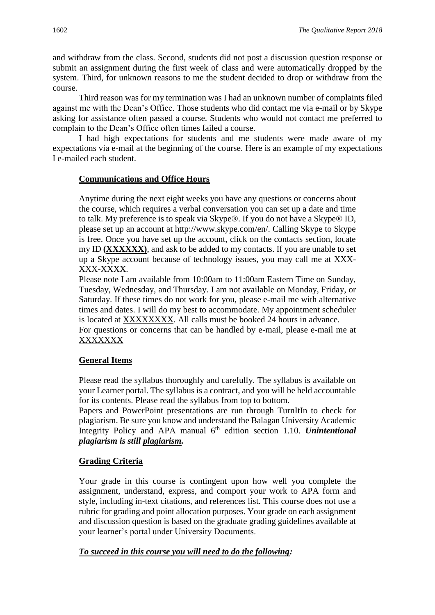and withdraw from the class. Second, students did not post a discussion question response or submit an assignment during the first week of class and were automatically dropped by the system. Third, for unknown reasons to me the student decided to drop or withdraw from the course.

Third reason was for my termination was I had an unknown number of complaints filed against me with the Dean's Office. Those students who did contact me via e-mail or by Skype asking for assistance often passed a course. Students who would not contact me preferred to complain to the Dean's Office often times failed a course.

I had high expectations for students and me students were made aware of my expectations via e-mail at the beginning of the course. Here is an example of my expectations I e-mailed each student.

# **Communications and Office Hours**

Anytime during the next eight weeks you have any questions or concerns about the course, which requires a verbal conversation you can set up a date and time to talk. My preference is to speak via Skype®. If you do not have a Skype® ID, please set up an account at http://www.skype.com/en/. Calling Skype to Skype is free. Once you have set up the account, click on the contacts section, locate my ID **(XXXXXX)**, and ask to be added to my contacts. If you are unable to set up a Skype account because of technology issues, you may call me at XXX-XXX-XXXX.

Please note I am available from 10:00am to 11:00am Eastern Time on Sunday, Tuesday, Wednesday, and Thursday. I am not available on Monday, Friday, or Saturday. If these times do not work for you, please e-mail me with alternative times and dates. I will do my best to accommodate. My appointment scheduler is located at XXXXXXXX. All calls must be booked 24 hours in advance.

For questions or concerns that can be handled by e-mail, please e-mail me at XXXXXXX

# **General Items**

Please read the syllabus thoroughly and carefully. The syllabus is available on your Learner portal. The syllabus is a contract, and you will be held accountable for its contents. Please read the syllabus from top to bottom.

Papers and PowerPoint presentations are run through TurnItIn to check for plagiarism. Be sure you know and understand the Balagan University Academic Integrity Policy and APA manual 6<sup>th</sup> edition section 1.10. *Unintentional plagiarism is still plagiarism.*

# **Grading Criteria**

Your grade in this course is contingent upon how well you complete the assignment, understand, express, and comport your work to APA form and style, including in-text citations, and references list. This course does not use a rubric for grading and point allocation purposes. Your grade on each assignment and discussion question is based on the graduate grading guidelines available at your learner's portal under University Documents.

# *To succeed in this course you will need to do the following:*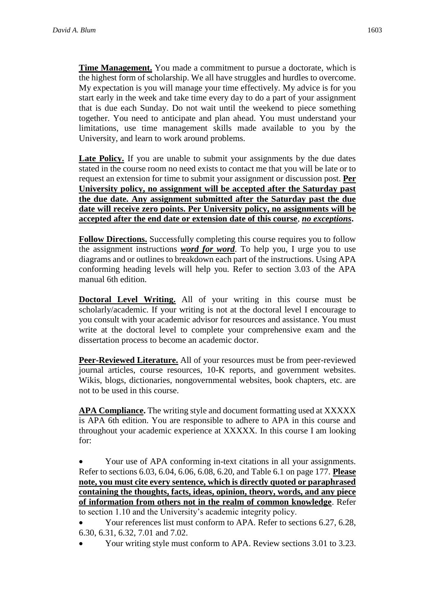**Time Management.** You made a commitment to pursue a doctorate, which is the highest form of scholarship. We all have struggles and hurdles to overcome. My expectation is you will manage your time effectively. My advice is for you start early in the week and take time every day to do a part of your assignment that is due each Sunday. Do not wait until the weekend to piece something together. You need to anticipate and plan ahead. You must understand your limitations, use time management skills made available to you by the University, and learn to work around problems.

Late Policy. If you are unable to submit your assignments by the due dates stated in the course room no need exists to contact me that you will be late or to request an extension for time to submit your assignment or discussion post. **Per University policy, no assignment will be accepted after the Saturday past the due date. Any assignment submitted after the Saturday past the due date will receive zero points. Per University policy, no assignments will be accepted after the end date or extension date of this course**, *no exceptions***.**

**Follow Directions.** Successfully completing this course requires you to follow the assignment instructions *word for word*. To help you, I urge you to use diagrams and or outlines to breakdown each part of the instructions. Using APA conforming heading levels will help you. Refer to section 3.03 of the APA manual 6th edition.

**Doctoral Level Writing.** All of your writing in this course must be scholarly/academic. If your writing is not at the doctoral level I encourage to you consult with your academic advisor for resources and assistance. You must write at the doctoral level to complete your comprehensive exam and the dissertation process to become an academic doctor.

**Peer-Reviewed Literature.** All of your resources must be from peer-reviewed journal articles, course resources, 10-K reports, and government websites. Wikis, blogs, dictionaries, nongovernmental websites, book chapters, etc. are not to be used in this course.

**APA Compliance.** The writing style and document formatting used at XXXXX is APA 6th edition. You are responsible to adhere to APA in this course and throughout your academic experience at XXXXX. In this course I am looking for:

 Your use of APA conforming in-text citations in all your assignments. Refer to sections 6.03, 6.04, 6.06, 6.08, 6.20, and Table 6.1 on page 177. **Please note, you must cite every sentence, which is directly quoted or paraphrased containing the thoughts, facts, ideas, opinion, theory, words, and any piece of information from others not in the realm of common knowledge**. Refer to section 1.10 and the University's academic integrity policy.

 Your references list must conform to APA. Refer to sections 6.27, 6.28, 6.30, 6.31, 6.32, 7.01 and 7.02.

Your writing style must conform to APA. Review sections 3.01 to 3.23.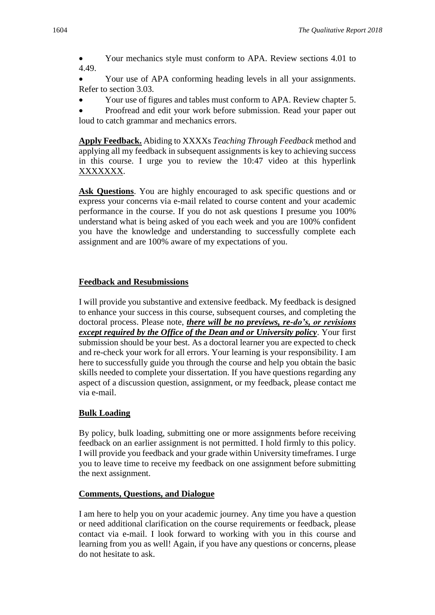Your mechanics style must conform to APA. Review sections 4.01 to 4.49.

 Your use of APA conforming heading levels in all your assignments. Refer to section 3.03.

- Your use of figures and tables must conform to APA. Review chapter 5.
- Proofread and edit your work before submission. Read your paper out loud to catch grammar and mechanics errors.

**Apply Feedback.** Abiding to XXXXs *Teaching Through Feedback* method and applying all my feedback in subsequent assignments is key to achieving success in this course. I urge you to review the 10:47 video at this hyperlink XXXXXXX.

**Ask Questions**. You are highly encouraged to ask specific questions and or express your concerns via e-mail related to course content and your academic performance in the course. If you do not ask questions I presume you 100% understand what is being asked of you each week and you are 100% confident you have the knowledge and understanding to successfully complete each assignment and are 100% aware of my expectations of you.

# **Feedback and Resubmissions**

I will provide you substantive and extensive feedback. My feedback is designed to enhance your success in this course, subsequent courses, and completing the doctoral process. Please note, *there will be no previews, re-do's, or revisions except required by the Office of the Dean and or University policy*. Your first submission should be your best. As a doctoral learner you are expected to check and re-check your work for all errors. Your learning is your responsibility. I am here to successfully guide you through the course and help you obtain the basic skills needed to complete your dissertation. If you have questions regarding any aspect of a discussion question, assignment, or my feedback, please contact me via e-mail.

# **Bulk Loading**

By policy, bulk loading, submitting one or more assignments before receiving feedback on an earlier assignment is not permitted. I hold firmly to this policy. I will provide you feedback and your grade within University timeframes. I urge you to leave time to receive my feedback on one assignment before submitting the next assignment.

# **Comments, Questions, and Dialogue**

I am here to help you on your academic journey. Any time you have a question or need additional clarification on the course requirements or feedback, please contact via e-mail. I look forward to working with you in this course and learning from you as well! Again, if you have any questions or concerns, please do not hesitate to ask.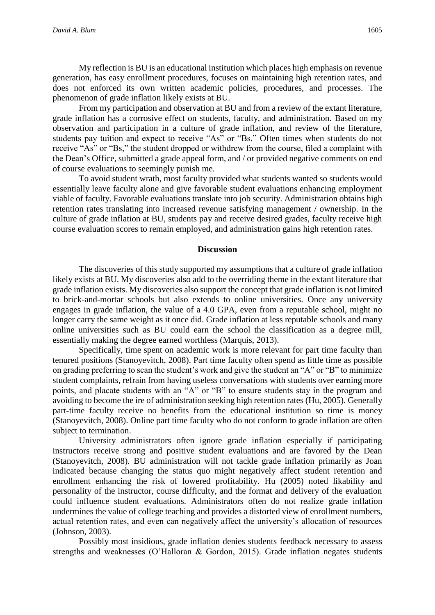My reflection is BU is an educational institution which places high emphasis on revenue generation, has easy enrollment procedures, focuses on maintaining high retention rates, and does not enforced its own written academic policies, procedures, and processes. The phenomenon of grade inflation likely exists at BU.

From my participation and observation at BU and from a review of the extant literature, grade inflation has a corrosive effect on students, faculty, and administration. Based on my observation and participation in a culture of grade inflation, and review of the literature, students pay tuition and expect to receive "As" or "Bs." Often times when students do not receive "As" or "Bs," the student dropped or withdrew from the course, filed a complaint with the Dean's Office, submitted a grade appeal form, and / or provided negative comments on end of course evaluations to seemingly punish me.

To avoid student wrath, most faculty provided what students wanted so students would essentially leave faculty alone and give favorable student evaluations enhancing employment viable of faculty. Favorable evaluations translate into job security. Administration obtains high retention rates translating into increased revenue satisfying management / ownership. In the culture of grade inflation at BU, students pay and receive desired grades, faculty receive high course evaluation scores to remain employed, and administration gains high retention rates.

#### **Discussion**

The discoveries of this study supported my assumptions that a culture of grade inflation likely exists at BU. My discoveries also add to the overriding theme in the extant literature that grade inflation exists. My discoveries also support the concept that grade inflation is not limited to brick-and-mortar schools but also extends to online universities. Once any university engages in grade inflation, the value of a 4.0 GPA, even from a reputable school, might no longer carry the same weight as it once did. Grade inflation at less reputable schools and many online universities such as BU could earn the school the classification as a degree mill, essentially making the degree earned worthless (Marquis, 2013).

Specifically, time spent on academic work is more relevant for part time faculty than tenured positions (Stanoyevitch, 2008). Part time faculty often spend as little time as possible on grading preferring to scan the student's work and give the student an "A" or "B" to minimize student complaints, refrain from having useless conversations with students over earning more points, and placate students with an "A" or "B" to ensure students stay in the program and avoiding to become the ire of administration seeking high retention rates (Hu, 2005). Generally part-time faculty receive no benefits from the educational institution so time is money (Stanoyevitch, 2008). Online part time faculty who do not conform to grade inflation are often subject to termination.

University administrators often ignore grade inflation especially if participating instructors receive strong and positive student evaluations and are favored by the Dean (Stanoyevitch, 2008). BU administration will not tackle grade inflation primarily as Joan indicated because changing the status quo might negatively affect student retention and enrollment enhancing the risk of lowered profitability. Hu (2005) noted likability and personality of the instructor, course difficulty, and the format and delivery of the evaluation could influence student evaluations. Administrators often do not realize grade inflation undermines the value of college teaching and provides a distorted view of enrollment numbers, actual retention rates, and even can negatively affect the university's allocation of resources (Johnson, 2003).

Possibly most insidious, grade inflation denies students feedback necessary to assess strengths and weaknesses (O'Halloran & Gordon, 2015). Grade inflation negates students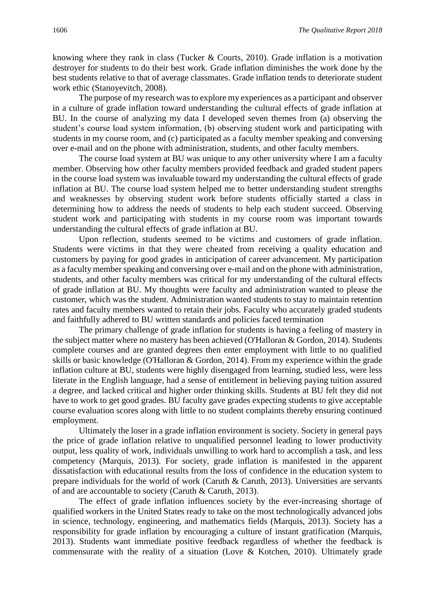knowing where they rank in class (Tucker & Courts, 2010). Grade inflation is a motivation destroyer for students to do their best work. Grade inflation diminishes the work done by the best students relative to that of average classmates. Grade inflation tends to deteriorate student work ethic (Stanoyevitch, 2008).

The purpose of my research was to explore my experiences as a participant and observer in a culture of grade inflation toward understanding the cultural effects of grade inflation at BU. In the course of analyzing my data I developed seven themes from (a) observing the student's course load system information, (b) observing student work and participating with students in my course room, and (c) participated as a faculty member speaking and conversing over e-mail and on the phone with administration, students, and other faculty members.

The course load system at BU was unique to any other university where I am a faculty member. Observing how other faculty members provided feedback and graded student papers in the course load system was invaluable toward my understanding the cultural effects of grade inflation at BU. The course load system helped me to better understanding student strengths and weaknesses by observing student work before students officially started a class in determining how to address the needs of students to help each student succeed. Observing student work and participating with students in my course room was important towards understanding the cultural effects of grade inflation at BU.

Upon reflection, students seemed to be victims and customers of grade inflation. Students were victims in that they were cheated from receiving a quality education and customers by paying for good grades in anticipation of career advancement. My participation as a faculty member speaking and conversing over e-mail and on the phone with administration, students, and other faculty members was critical for my understanding of the cultural effects of grade inflation at BU. My thoughts were faculty and administration wanted to please the customer, which was the student. Administration wanted students to stay to maintain retention rates and faculty members wanted to retain their jobs. Faculty who accurately graded students and faithfully adhered to BU written standards and policies faced termination

The primary challenge of grade inflation for students is having a feeling of mastery in the subject matter where no mastery has been achieved (O'Halloran & Gordon, 2014). Students complete courses and are granted degrees then enter employment with little to no qualified skills or basic knowledge (O'Halloran & Gordon, 2014). From my experience within the grade inflation culture at BU, students were highly disengaged from learning, studied less, were less literate in the English language, had a sense of entitlement in believing paying tuition assured a degree, and lacked critical and higher order thinking skills. Students at BU felt they did not have to work to get good grades. BU faculty gave grades expecting students to give acceptable course evaluation scores along with little to no student complaints thereby ensuring continued employment.

Ultimately the loser in a grade inflation environment is society. Society in general pays the price of grade inflation relative to unqualified personnel leading to lower productivity output, less quality of work, individuals unwilling to work hard to accomplish a task, and less competency (Marquis, 2013). For society, grade inflation is manifested in the apparent dissatisfaction with educational results from the loss of confidence in the education system to prepare individuals for the world of work (Caruth  $\&$  Caruth, 2013). Universities are servants of and are accountable to society (Caruth & Caruth, 2013).

The effect of grade inflation influences society by the ever-increasing shortage of qualified workers in the United States ready to take on the most technologically advanced jobs in science, technology, engineering, and mathematics fields (Marquis, 2013). Society has a responsibility for grade inflation by encouraging a culture of instant gratification (Marquis, 2013). Students want immediate positive feedback regardless of whether the feedback is commensurate with the reality of a situation (Love & Kotchen, 2010). Ultimately grade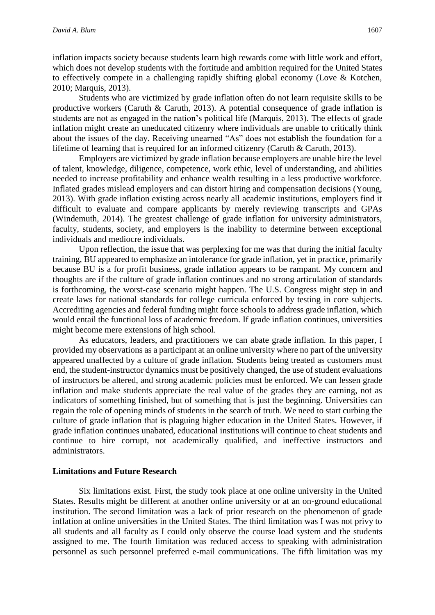inflation impacts society because students learn high rewards come with little work and effort, which does not develop students with the fortitude and ambition required for the United States to effectively compete in a challenging rapidly shifting global economy (Love & Kotchen, 2010; Marquis, 2013).

Students who are victimized by grade inflation often do not learn requisite skills to be productive workers (Caruth & Caruth, 2013). A potential consequence of grade inflation is students are not as engaged in the nation's political life (Marquis, 2013). The effects of grade inflation might create an uneducated citizenry where individuals are unable to critically think about the issues of the day. Receiving unearned "As" does not establish the foundation for a lifetime of learning that is required for an informed citizenry (Caruth & Caruth, 2013).

Employers are victimized by grade inflation because employers are unable hire the level of talent, knowledge, diligence, competence, work ethic, level of understanding, and abilities needed to increase profitability and enhance wealth resulting in a less productive workforce. Inflated grades mislead employers and can distort hiring and compensation decisions (Young, 2013). With grade inflation existing across nearly all academic institutions, employers find it difficult to evaluate and compare applicants by merely reviewing transcripts and GPAs (Windemuth, 2014). The greatest challenge of grade inflation for university administrators, faculty, students, society, and employers is the inability to determine between exceptional individuals and mediocre individuals.

Upon reflection, the issue that was perplexing for me was that during the initial faculty training, BU appeared to emphasize an intolerance for grade inflation, yet in practice, primarily because BU is a for profit business, grade inflation appears to be rampant. My concern and thoughts are if the culture of grade inflation continues and no strong articulation of standards is forthcoming, the worst-case scenario might happen. The U.S. Congress might step in and create laws for national standards for college curricula enforced by testing in core subjects. Accrediting agencies and federal funding might force schools to address grade inflation, which would entail the functional loss of academic freedom. If grade inflation continues, universities might become mere extensions of high school.

As educators, leaders, and practitioners we can abate grade inflation. In this paper, I provided my observations as a participant at an online university where no part of the university appeared unaffected by a culture of grade inflation. Students being treated as customers must end, the student-instructor dynamics must be positively changed, the use of student evaluations of instructors be altered, and strong academic policies must be enforced. We can lessen grade inflation and make students appreciate the real value of the grades they are earning, not as indicators of something finished, but of something that is just the beginning. Universities can regain the role of opening minds of students in the search of truth. We need to start curbing the culture of grade inflation that is plaguing higher education in the United States. However, if grade inflation continues unabated, educational institutions will continue to cheat students and continue to hire corrupt, not academically qualified, and ineffective instructors and administrators.

#### **Limitations and Future Research**

Six limitations exist. First, the study took place at one online university in the United States. Results might be different at another online university or at an on-ground educational institution. The second limitation was a lack of prior research on the phenomenon of grade inflation at online universities in the United States. The third limitation was I was not privy to all students and all faculty as I could only observe the course load system and the students assigned to me. The fourth limitation was reduced access to speaking with administration personnel as such personnel preferred e-mail communications. The fifth limitation was my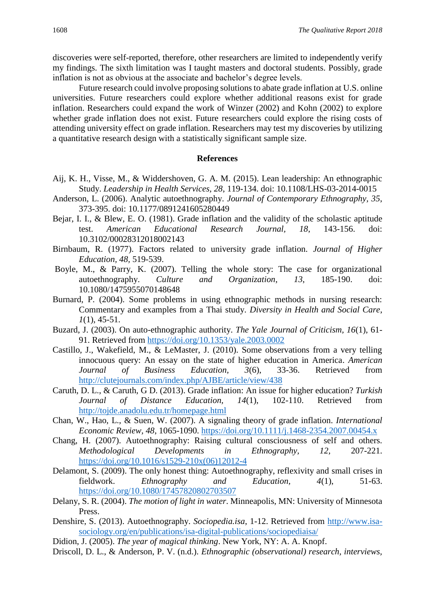discoveries were self-reported, therefore, other researchers are limited to independently verify my findings. The sixth limitation was I taught masters and doctoral students. Possibly, grade inflation is not as obvious at the associate and bachelor's degree levels.

Future research could involve proposing solutions to abate grade inflation at U.S. online universities. Future researchers could explore whether additional reasons exist for grade inflation. Researchers could expand the work of Winzer (2002) and Kohn (2002) to explore whether grade inflation does not exist. Future researchers could explore the rising costs of attending university effect on grade inflation. Researchers may test my discoveries by utilizing a quantitative research design with a statistically significant sample size.

### **References**

- Aij, K. H., Visse, M., & Widdershoven, G. A. M. (2015). Lean leadership: An ethnographic Study. *Leadership in Health Services, 28*, 119-134. doi: 10.1108/LHS-03-2014-0015
- Anderson, L. (2006). Analytic autoethnography. *Journal of Contemporary Ethnography, 35*, 373-395. doi: 10.1177/0891241605280449
- Bejar, I. I., & Blew, E. O. (1981). Grade inflation and the validity of the scholastic aptitude test. *American Educational Research Journal, 18*, 143-156. doi: 10.3102/00028312018002143
- Birnbaum, R. (1977). Factors related to university grade inflation. *Journal of Higher Education, 48,* 519-539.
- Boyle, M., & Parry, K. (2007). Telling the whole story: The case for organizational autoethnography. *Culture and Organization*, *13*, 185-190. doi: 10.1080/1475955070148648
- Burnard, P. (2004). Some problems in using ethnographic methods in nursing research: Commentary and examples from a Thai study. *Diversity in Health and Social Care*, *1*(1), 45-51.
- Buzard, J. (2003). On auto-ethnographic authority. *The Yale Journal of Criticism, 16*(1), 61- 91. Retrieved from<https://doi.org/10.1353/yale.2003.0002>
- Castillo, J., Wakefield, M., & LeMaster, J. (2010). Some observations from a very telling innocuous query: An essay on the state of higher education in America. *American Journal of Business Education, 3*(6), 33-36. Retrieved from <http://clutejournals.com/index.php/AJBE/article/view/438>
- Caruth, D. L., & Caruth, G D. (2013). Grade inflation: An issue for higher education? *Turkish Journal of Distance Education, 14*(1), 102-110. Retrieved from <http://tojde.anadolu.edu.tr/homepage.html>
- Chan, W., Hao, L., & Suen, W. (2007). A signaling theory of grade inflation. *International Economic Review, 48*, 1065-1090.<https://doi.org/10.1111/j.1468-2354.2007.00454.x>
- Chang, H. (2007). Autoethnography: Raising cultural consciousness of self and others. *Methodological Developments in Ethnography, 12,* 207-221. [https://doi.org/10.1016/s1529-210x\(06\)12012-4](https://doi.org/10.1016/s1529-210x(06)12012-4)
- Delamont, S. (2009). The only honest thing: Autoethnography, reflexivity and small crises in fieldwork. *Ethnography and Education, 4*(1), 51-63. <https://doi.org/10.1080/17457820802703507>
- Delany, S. R. (2004). *The motion of light in water*. Minneapolis, MN: University of Minnesota Press.
- Denshire, S. (2013). Autoethnography. *Sociopedia.isa*, 1-12. Retrieved from [http://www.isa](http://www.isa-sociology.org/en/publications/isa-digital-publications/sociopediaisa/)[sociology.org/en/publications/isa-digital-publications/sociopediaisa/](http://www.isa-sociology.org/en/publications/isa-digital-publications/sociopediaisa/)
- Didion, J. (2005). *The year of magical thinking*. New York, NY: A. A. Knopf.
- Driscoll, D. L., & Anderson, P. V. (n.d.). *Ethnographic (observational) research, interviews,*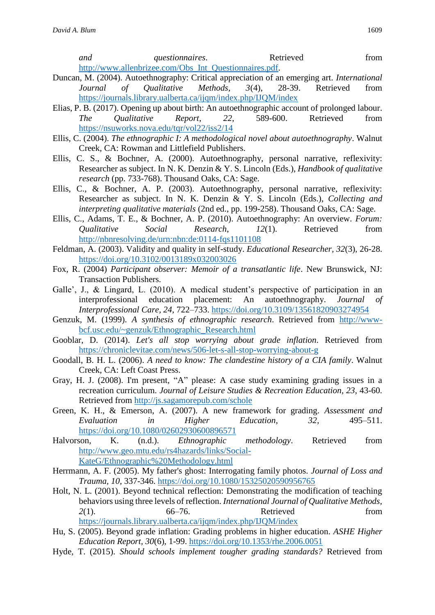*and questionnaires.* Retrieved from [http://www.allenbrizee.com/Obs\\_Int\\_Questionnaires.pdf.](http://www.allenbrizee.com/Obs_Int_Questionnaires.pdf)

- Duncan, M. (2004). Autoethnography: Critical appreciation of an emerging art. *International Journal of Qualitative Methods, 3*(4), 28-39. Retrieved from <https://journals.library.ualberta.ca/ijqm/index.php/IJQM/index>
- Elias, P. B. (2017). Opening up about birth: An autoethnographic account of prolonged labour. *The Qualitative Report*, *22*, 589-600. Retrieved from https://nsuworks.nova.edu/tqr/vol22/iss2/14
- Ellis, C. (2004). *The ethnographic I: A methodological novel about autoethnography*. Walnut Creek, CA: Rowman and Littlefield Publishers.
- Ellis, C. S., & Bochner, A. (2000). Autoethnography, personal narrative, reflexivity: Researcher as subject. In N. K. Denzin & Y. S. Lincoln (Eds.), *Handbook of qualitative research* (pp. 733-768). Thousand Oaks, CA: Sage.
- Ellis, C., & Bochner, A. P. (2003). Autoethnography, personal narrative, reflexivity: Researcher as subject. In N. K. Denzin & Y. S. Lincoln (Eds.), *Collecting and interpreting qualitative materials* (2nd ed., pp. 199-258). Thousand Oaks, CA: Sage.
- Ellis, C., Adams, T. E., & Bochner, A. P. (2010). Autoethnography: An overview. *Forum: Qualitative Social Research*, *12*(1). Retrieved from <http://nbnresolving.de/urn:nbn:de:0114-fqs1101108>
- Feldman, A. (2003). Validity and quality in self-study. *Educational Researcher, 32*(3), 26-28. <https://doi.org/10.3102/0013189x032003026>
- Fox, R. (2004) *Participant observer: Memoir of a transatlantic life*. New Brunswick, NJ: Transaction Publishers.
- Galle', J., & Lingard, L. (2010). A medical student's perspective of participation in an interprofessional education placement: An autoethnography. *Journal of Interprofessional Care, 24*, 722–733.<https://doi.org/10.3109/13561820903274954>
- Genzuk, M. (1999). *A synthesis of ethnographic research*. Retrieved from [http://www](http://www-bcf.usc.edu/~genzuk/Ethnographic_Research.html)[bcf.usc.edu/~genzuk/Ethnographic\\_Research.html](http://www-bcf.usc.edu/~genzuk/Ethnographic_Research.html)
- Gooblar, D. (2014). *Let's all stop worrying about grade inflation*. Retrieved from <https://chroniclevitae.com/news/506-let-s-all-stop-worrying-about-g>
- Goodall, B. H. L. (2006). *A need to know: The clandestine history of a CIA family*. Walnut Creek, CA: Left Coast Press.
- Gray, H. J. (2008). I'm present, "A" please: A case study examining grading issues in a recreation curriculum. *Journal of Leisure Studies & Recreation Education, 23*, 43-60. Retrieved from<http://js.sagamorepub.com/schole>
- Green, K. H., & Emerson, A. (2007). A new framework for grading. *Assessment and Evaluation in Higher Education, 32*, 495–511. <https://doi.org/10.1080/02602930600896571>
- Halvorson, K. (n.d.). *Ethnographic methodology*. Retrieved from [http://www.geo.mtu.edu/rs4hazards/links/Social-](http://www.geo.mtu.edu/rs4hazards/links/SocialKateG/Ethnographic%20Methodology.html)[KateG/Ethnographic%20Methodology.html](http://www.geo.mtu.edu/rs4hazards/links/SocialKateG/Ethnographic%20Methodology.html)
- Herrmann, A. F. (2005). My father's ghost: Interrogating family photos. *Journal of Loss and Trauma, 10*, 337-346. <https://doi.org/10.1080/15325020590956765>
- Holt, N. L. (2001). Beyond technical reflection: Demonstrating the modification of teaching behaviors using three levels of reflection. *International Journal of Qualitative Methods, 2*(1). 66–76. Retrieved from <https://journals.library.ualberta.ca/ijqm/index.php/IJQM/index>
- Hu, S. (2005). Beyond grade inflation: Grading problems in higher education. *ASHE Higher Education Report, 30*(6), 1-99.<https://doi.org/10.1353/rhe.2006.0051>
- Hyde, T. (2015). *Should schools implement tougher grading standards?* Retrieved from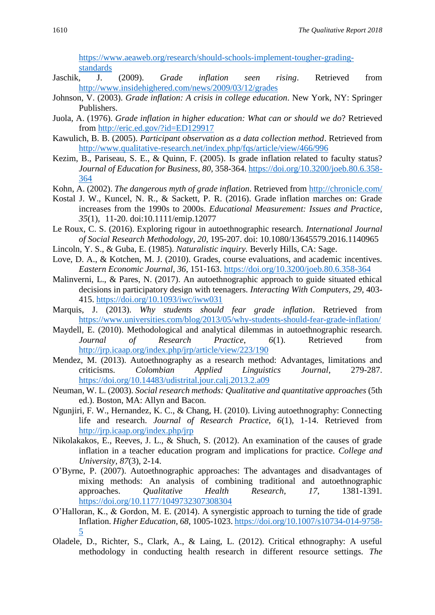[https://www.aeaweb.org/research/should-schools-implement-tougher-grading](https://www.aeaweb.org/research/should-schools-implement-tougher-grading-standards)[standards](https://www.aeaweb.org/research/should-schools-implement-tougher-grading-standards)

- Jaschik, J. (2009). *Grade inflation seen rising*. Retrieved from <http://www.insidehighered.com/news/2009/03/12/grades>
- Johnson, V. (2003). *Grade inflation: A crisis in college education*. New York, NY: Springer Publishers.
- Juola, A. (1976). *Grade inflation in higher education: What can or should we do*? Retrieved from<http://eric.ed.gov/?id=ED129917>
- Kawulich, B. B. (2005). *Participant observation as a data collection method*. Retrieved from <http://www.qualitative-research.net/index.php/fqs/article/view/466/996>
- Kezim, B., Pariseau, S. E., & Quinn, F. (2005). Is grade inflation related to faculty status? *Journal of Education for Business, 80,* 358-364. [https://doi.org/10.3200/joeb.80.6.358-](https://doi.org/10.3200/joeb.80.6.358-364) [364](https://doi.org/10.3200/joeb.80.6.358-364)
- Kohn, A. (2002). *The dangerous myth of grade inflation*. Retrieved from<http://chronicle.com/>
- Kostal J. W., Kuncel, N. R., & Sackett, P. R. (2016). Grade inflation marches on: Grade increases from the 1990s to 2000s. *Educational Measurement: Issues and Practice, 35*(1), 11-20. doi:10.1111/emip.12077
- Le Roux, C. S. (2016). Exploring rigour in autoethnographic research. *International Journal of Social Research Methodology, 20*, 195-207. doi: 10.1080/13645579.2016.1140965
- Lincoln, Y. S., & Guba, E. (1985). *Naturalistic inquiry.* Beverly Hills, CA: Sage.
- Love, D. A., & Kotchen, M. J. (2010). Grades, course evaluations, and academic incentives*. Eastern Economic Journal, 36*, 151-163.<https://doi.org/10.3200/joeb.80.6.358-364>
- Malinverni, L., & Pares, N. (2017). An autoethnographic approach to guide situated ethical decisions in participatory design with teenagers. *Interacting With Computers, 29*, 403- 415.<https://doi.org/10.1093/iwc/iww031>
- Marquis, J. (2013). *Why students should fear grade inflation*. Retrieved from https://www.universities.com/blog/2013/05/why-students-should-fear-grade-inflation/
- Maydell, E. (2010). Methodological and analytical dilemmas in autoethnographic research. *Journal of Research Practice*, *6*(1). Retrieved from <http://jrp.icaap.org/index.php/jrp/article/view/223/190>
- Mendez, M. (2013). Autoethnography as a research method: Advantages, limitations and criticisms. *Colombian Applied Linguistics Journal*, 279-287. <https://doi.org/10.14483/udistrital.jour.calj.2013.2.a09>
- Neuman, W. L. (2003). *Social research methods: Qualitative and quantitative approaches* (5th ed.). Boston, MA: Allyn and Bacon.
- Ngunjiri, F. W., Hernandez, K. C., & Chang, H. (2010). Living autoethnography: Connecting life and research. *Journal of Research Practice*, *6*(1), 1-14. Retrieved from <http://jrp.icaap.org/index.php/jrp>
- Nikolakakos, E., Reeves, J. L., & Shuch, S. (2012). An examination of the causes of grade inflation in a teacher education program and implications for practice. *College and University, 87*(3), 2-14.
- O'Byrne, P. (2007). Autoethnographic approaches: The advantages and disadvantages of mixing methods: An analysis of combining traditional and autoethnographic approaches. *Qualitative Health Research, 17*, 1381-1391*.* <https://doi.org/10.1177/1049732307308304>
- O'Halloran, K., & Gordon, M. E. (2014). A synergistic approach to turning the tide of grade Inflation. *Higher Education*, *68*, 1005-1023. [https://doi.org/10.1007/s10734-014-9758-](https://doi.org/10.1007/s10734-014-9758-5) [5](https://doi.org/10.1007/s10734-014-9758-5)
- Oladele, D., Richter, S., Clark, A., & Laing, L. (2012). Critical ethnography: A useful methodology in conducting health research in different resource settings. *The*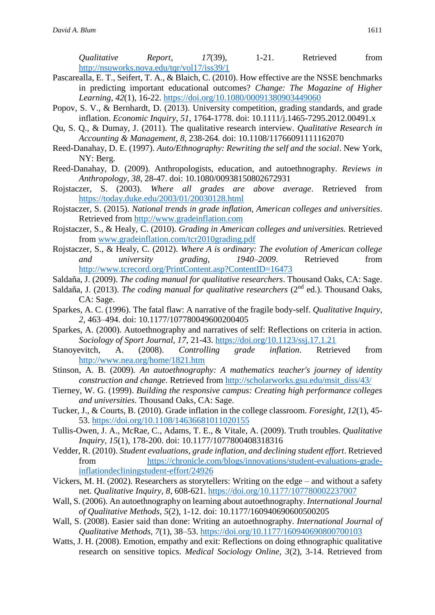*Qualitative Report*, *17*(39), 1-21. Retrieved from <http://nsuworks.nova.edu/tqr/vol17/iss39/1>

- Pascarealla, E. T., Seifert, T. A., & Blaich, C. (2010). How effective are the NSSE benchmarks in predicting important educational outcomes? *Change: The Magazine of Higher Learning, 42*(1), 16-22.<https://doi.org/10.1080/00091380903449060>
- Popov, S. V., & Bernhardt, D. (2013). University competition, grading standards, and grade inflation. *Economic Inquiry, 51*, 1764-1778. doi: 10.1111/j.1465-7295.2012.00491.x
- Qu, S. Q., & Dumay, J. (2011). The qualitative research interview. *Qualitative Research in Accounting & Management, 8*, 238-264*.* doi: 10.1108/11766091111162070
- Reed-Danahay, D. E. (1997). *Auto/Ethnography: Rewriting the self and the social*. New York, NY: Berg.
- Reed-Danahay, D. (2009). Anthropologists, education, and autoethnography. *Reviews in Anthropology, 38*, 28-47. doi: 10.1080/00938150802672931
- Rojstaczer, S. (2003). *Where all grades are above average*. Retrieved from <https://today.duke.edu/2003/01/20030128.html>
- Rojstaczer, S. (2015). *National trends in grade inflation, American colleges and universities*. Retrieved from [http://www.gradeinflation.com](http://www.gradeinflation.com/)
- Rojstaczer, S., & Healy, C. (2010). *Grading in American colleges and universities.* Retrieved from [www.gradeinflation.com/tcr2010grading.pdf](http://www.gradeinflation.com/tcr2010grading.pdf)
- Rojstaczer, S., & Healy, C. (2012). *Where A is ordinary: The evolution of American college and university grading*, *1940–2009*. Retrieved from <http://www.tcrecord.org/PrintContent.asp?ContentID=16473>
- Saldaña, J. (2009). *The coding manual for qualitative researchers*. Thousand Oaks, CA: Sage.
- Saldaña, J. (2013). *The coding manual for qualitative researchers* (2nd ed.). Thousand Oaks, CA: Sage.
- Sparkes, A. C. (1996). The fatal flaw: A narrative of the fragile body-self. *Qualitative Inquiry, 2,* 463–494. doi: 10.1177/107780049600200405
- Sparkes, A. (2000). Autoethnography and narratives of self: Reflections on criteria in action. *Sociology of Sport Journal, 17*, 21-43.<https://doi.org/10.1123/ssj.17.1.21>
- Stanoyevitch, A. (2008). *Controlling grade inflation*. Retrieved from <http://www.nea.org/home/1821.htm>
- Stinson, A. B. (2009). *An autoethnography: A mathematics teacher's journey of identity construction and change*. Retrieved from [http://scholarworks.gsu.edu/msit\\_diss/43/](http://scholarworks.gsu.edu/msit_diss/43/)
- Tierney, W. G. (1999). *Building the responsive campus: Creating high performance colleges and universities*. Thousand Oaks, CA: Sage.
- Tucker, J., & Courts, B. (2010). Grade inflation in the college classroom. *Foresight, 12*(1), 45- 53.<https://doi.org/10.1108/14636681011020155>
- Tullis-Owen, J. A., McRae, C., Adams, T. E., & Vitale, A. (2009). Truth troubles. *Qualitative Inquiry, 15*(1), 178-200. doi: 10.1177/1077800408318316
- Vedder, R. (2010). *Student evaluations, grade inflation, and declining student effort*. Retrieved from [https://chronicle.com/blogs/innovations/student-evaluations-grade](https://chronicle.com/blogs/innovations/student-evaluations-grade-inflationdecliningstudent-effort/24926)[inflationdecliningstudent-effort/24926](https://chronicle.com/blogs/innovations/student-evaluations-grade-inflationdecliningstudent-effort/24926)
- Vickers, M. H. (2002). Researchers as storytellers: Writing on the edge and without a safety net. *Qualitative Inquiry, 8*, 608-621.<https://doi.org/10.1177/107780002237007>
- Wall, S. (2006). An autoethnography on learning about autoethnography. *International Journal of Qualitative Methods*, *5*(2), 1-12. doi: 10.1177/160940690600500205
- Wall, S. (2008). Easier said than done: Writing an autoethnography. *International Journal of Qualitative Methods, 7*(1), 38–53.<https://doi.org/10.1177/160940690800700103>
- Watts, J. H. (2008). Emotion, empathy and exit: Reflections on doing ethnographic qualitative research on sensitive topics. *Medical Sociology Online, 3*(2), 3-14. Retrieved from